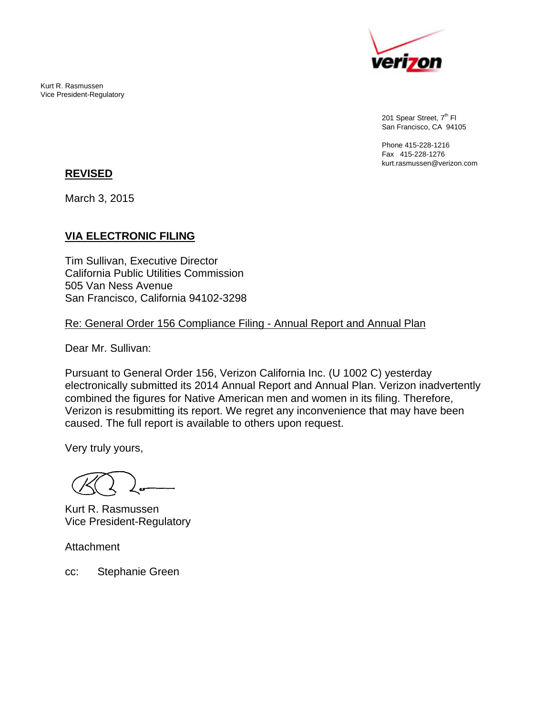

201 Spear Street, 7<sup>th</sup> Fl San Francisco, CA 94105

Phone 415-228-1216 Fax 415-228-1276 kurt.rasmussen@verizon.com

#### **REVISED**

Kurt R. Rasmussen Vice President-Regulatory

March 3, 2015

# **VIA ELECTRONIC FILING**

Tim Sullivan, Executive Director California Public Utilities Commission 505 Van Ness Avenue San Francisco, California 94102-3298

### Re: General Order 156 Compliance Filing - Annual Report and Annual Plan

Dear Mr. Sullivan:

Pursuant to General Order 156, Verizon California Inc. (U 1002 C) yesterday electronically submitted its 2014 Annual Report and Annual Plan. Verizon inadvertently combined the figures for Native American men and women in its filing. Therefore, Verizon is resubmitting its report. We regret any inconvenience that may have been caused. The full report is available to others upon request.

Very truly yours,

Kurt R. Rasmussen Vice President-Regulatory

**Attachment** 

cc: Stephanie Green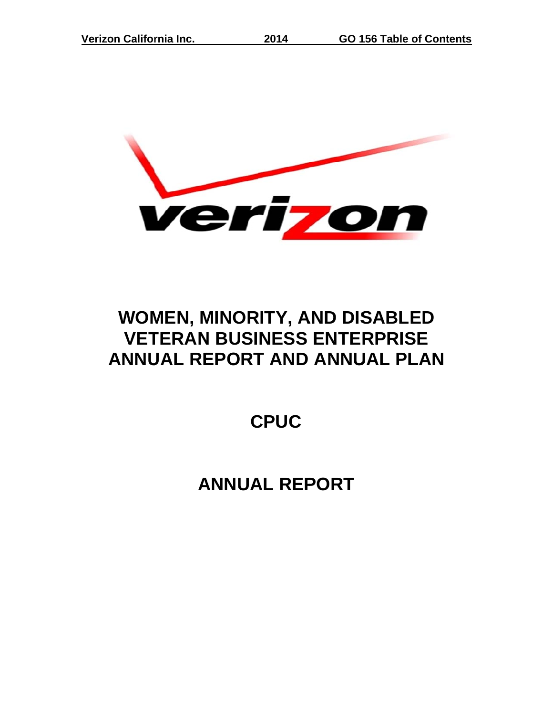

**2014**

# **WOM MEN, M MINOR RITY, A AND DIS SABLE ED VET TERAN N BUSI NESS ENTE RPRIS SE ANNUAL REPORT AND ANNUAL PLAN**

**C CPUC**

**A ANNUA AL REP PORT**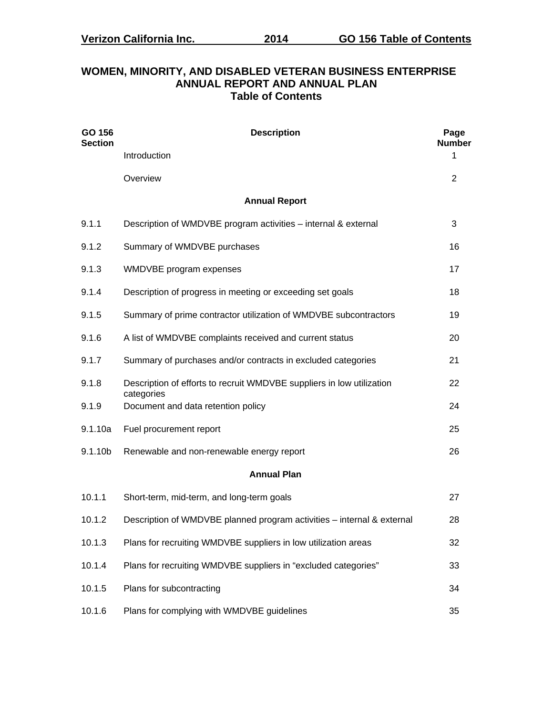#### **WOMEN, MINORITY, AND DISABLED VETERAN BUSINESS ENTERPRISE ANNUAL REPORT AND ANNUAL PLAN Table of Contents**

| GO 156<br><b>Section</b> | <b>Description</b>                                                                  |    |  |  |  |  |  |  |
|--------------------------|-------------------------------------------------------------------------------------|----|--|--|--|--|--|--|
|                          | Introduction                                                                        | 1  |  |  |  |  |  |  |
|                          | Overview                                                                            | 2  |  |  |  |  |  |  |
|                          | <b>Annual Report</b>                                                                |    |  |  |  |  |  |  |
| 9.1.1                    | Description of WMDVBE program activities - internal & external                      | 3  |  |  |  |  |  |  |
| 9.1.2                    | Summary of WMDVBE purchases                                                         | 16 |  |  |  |  |  |  |
| 9.1.3                    | WMDVBE program expenses                                                             | 17 |  |  |  |  |  |  |
| 9.1.4                    | Description of progress in meeting or exceeding set goals                           | 18 |  |  |  |  |  |  |
| 9.1.5                    | Summary of prime contractor utilization of WMDVBE subcontractors                    | 19 |  |  |  |  |  |  |
| 9.1.6                    | A list of WMDVBE complaints received and current status                             | 20 |  |  |  |  |  |  |
| 9.1.7                    | Summary of purchases and/or contracts in excluded categories                        | 21 |  |  |  |  |  |  |
| 9.1.8                    | Description of efforts to recruit WMDVBE suppliers in low utilization<br>categories | 22 |  |  |  |  |  |  |
| 9.1.9                    | Document and data retention policy                                                  | 24 |  |  |  |  |  |  |
| 9.1.10a                  | Fuel procurement report                                                             | 25 |  |  |  |  |  |  |
| 9.1.10b                  | Renewable and non-renewable energy report                                           | 26 |  |  |  |  |  |  |
|                          | <b>Annual Plan</b>                                                                  |    |  |  |  |  |  |  |
| 10.1.1                   | Short-term, mid-term, and long-term goals                                           | 27 |  |  |  |  |  |  |
| 10.1.2                   | Description of WMDVBE planned program activities - internal & external              | 28 |  |  |  |  |  |  |
| 10.1.3                   | Plans for recruiting WMDVBE suppliers in low utilization areas                      | 32 |  |  |  |  |  |  |
| 10.1.4                   | Plans for recruiting WMDVBE suppliers in "excluded categories"                      | 33 |  |  |  |  |  |  |
| 10.1.5                   | Plans for subcontracting                                                            | 34 |  |  |  |  |  |  |
| 10.1.6                   | Plans for complying with WMDVBE guidelines                                          | 35 |  |  |  |  |  |  |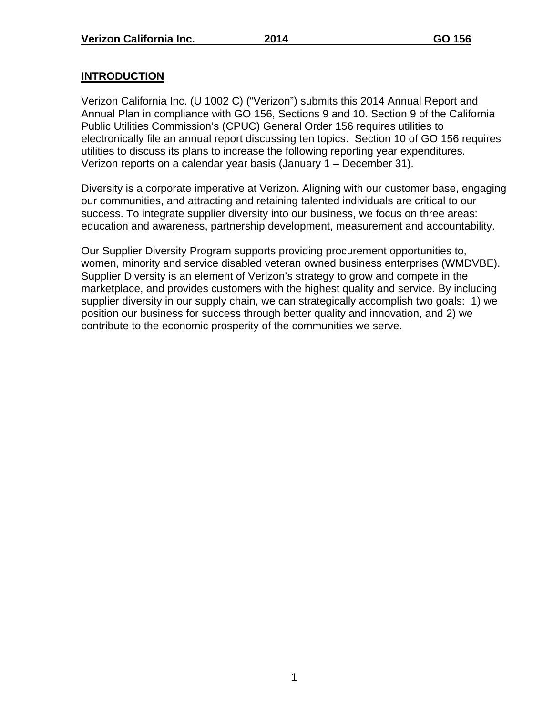# **INTRODUCTION**

Verizon California Inc. (U 1002 C) ("Verizon") submits this 2014 Annual Report and Annual Plan in compliance with GO 156, Sections 9 and 10. Section 9 of the California Public Utilities Commission's (CPUC) General Order 156 requires utilities to electronically file an annual report discussing ten topics. Section 10 of GO 156 requires utilities to discuss its plans to increase the following reporting year expenditures. Verizon reports on a calendar year basis (January 1 – December 31).

Diversity is a corporate imperative at Verizon. Aligning with our customer base, engaging our communities, and attracting and retaining talented individuals are critical to our success. To integrate supplier diversity into our business, we focus on three areas: education and awareness, partnership development, measurement and accountability.

Our Supplier Diversity Program supports providing procurement opportunities to, women, minority and service disabled veteran owned business enterprises (WMDVBE). Supplier Diversity is an element of Verizon's strategy to grow and compete in the marketplace, and provides customers with the highest quality and service. By including supplier diversity in our supply chain, we can strategically accomplish two goals: 1) we position our business for success through better quality and innovation, and 2) we contribute to the economic prosperity of the communities we serve.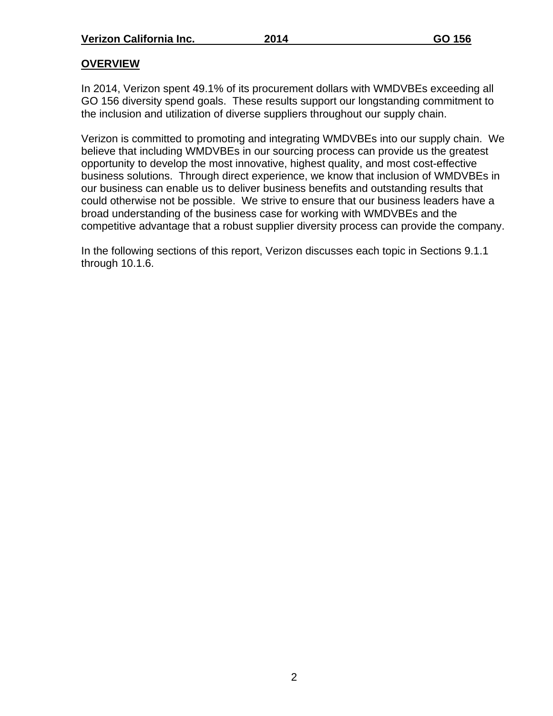# **OVERVIEW**

In 2014, Verizon spent 49.1% of its procurement dollars with WMDVBEs exceeding all GO 156 diversity spend goals. These results support our longstanding commitment to the inclusion and utilization of diverse suppliers throughout our supply chain.

Verizon is committed to promoting and integrating WMDVBEs into our supply chain. We believe that including WMDVBEs in our sourcing process can provide us the greatest opportunity to develop the most innovative, highest quality, and most cost-effective business solutions. Through direct experience, we know that inclusion of WMDVBEs in our business can enable us to deliver business benefits and outstanding results that could otherwise not be possible. We strive to ensure that our business leaders have a broad understanding of the business case for working with WMDVBEs and the competitive advantage that a robust supplier diversity process can provide the company.

In the following sections of this report, Verizon discusses each topic in Sections 9.1.1 through 10.1.6.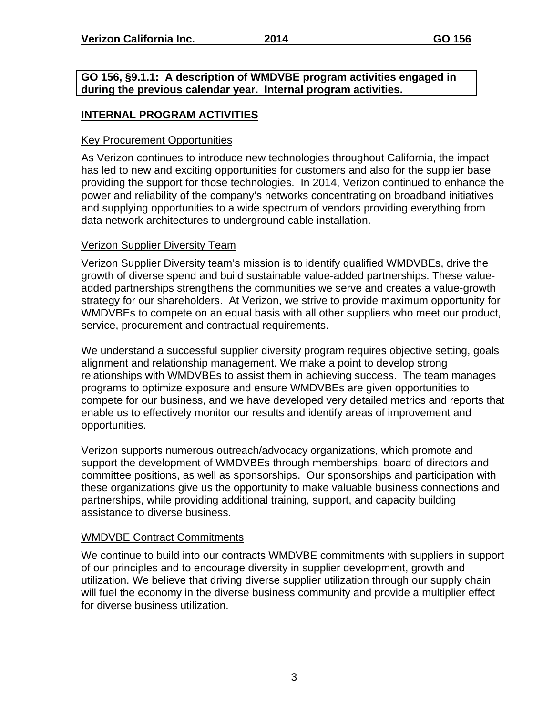**GO 156, §9.1.1: A description of WMDVBE program activities engaged in during the previous calendar year. Internal program activities.**

# **INTERNAL PROGRAM ACTIVITIES**

#### Key Procurement Opportunities

As Verizon continues to introduce new technologies throughout California, the impact has led to new and exciting opportunities for customers and also for the supplier base providing the support for those technologies. In 2014, Verizon continued to enhance the power and reliability of the company's networks concentrating on broadband initiatives and supplying opportunities to a wide spectrum of vendors providing everything from data network architectures to underground cable installation.

### Verizon Supplier Diversity Team

Verizon Supplier Diversity team's mission is to identify qualified WMDVBEs, drive the growth of diverse spend and build sustainable value-added partnerships. These valueadded partnerships strengthens the communities we serve and creates a value-growth strategy for our shareholders. At Verizon, we strive to provide maximum opportunity for WMDVBEs to compete on an equal basis with all other suppliers who meet our product, service, procurement and contractual requirements.

We understand a successful supplier diversity program requires objective setting, goals alignment and relationship management. We make a point to develop strong relationships with WMDVBEs to assist them in achieving success. The team manages programs to optimize exposure and ensure WMDVBEs are given opportunities to compete for our business, and we have developed very detailed metrics and reports that enable us to effectively monitor our results and identify areas of improvement and opportunities.

Verizon supports numerous outreach/advocacy organizations, which promote and support the development of WMDVBEs through memberships, board of directors and committee positions, as well as sponsorships. Our sponsorships and participation with these organizations give us the opportunity to make valuable business connections and partnerships, while providing additional training, support, and capacity building assistance to diverse business.

#### WMDVBE Contract Commitments

We continue to build into our contracts WMDVBE commitments with suppliers in support of our principles and to encourage diversity in supplier development, growth and utilization. We believe that driving diverse supplier utilization through our supply chain will fuel the economy in the diverse business community and provide a multiplier effect for diverse business utilization.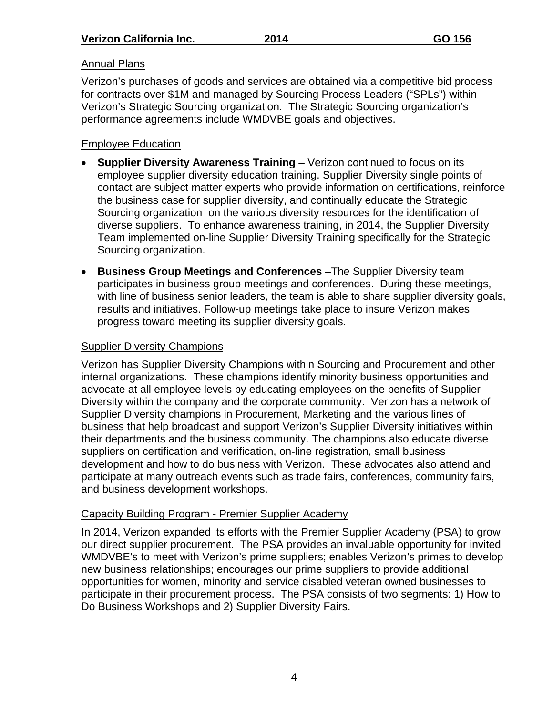# Annual Plans

Verizon's purchases of goods and services are obtained via a competitive bid process for contracts over \$1M and managed by Sourcing Process Leaders ("SPLs") within Verizon's Strategic Sourcing organization. The Strategic Sourcing organization's performance agreements include WMDVBE goals and objectives.

# Employee Education

- **Supplier Diversity Awareness Training** Verizon continued to focus on its employee supplier diversity education training. Supplier Diversity single points of contact are subject matter experts who provide information on certifications, reinforce the business case for supplier diversity, and continually educate the Strategic Sourcing organization on the various diversity resources for the identification of diverse suppliers. To enhance awareness training, in 2014, the Supplier Diversity Team implemented on-line Supplier Diversity Training specifically for the Strategic Sourcing organization.
- **Business Group Meetings and Conferences** –The Supplier Diversity team participates in business group meetings and conferences. During these meetings, with line of business senior leaders, the team is able to share supplier diversity goals, results and initiatives. Follow-up meetings take place to insure Verizon makes progress toward meeting its supplier diversity goals.

# Supplier Diversity Champions

Verizon has Supplier Diversity Champions within Sourcing and Procurement and other internal organizations. These champions identify minority business opportunities and advocate at all employee levels by educating employees on the benefits of Supplier Diversity within the company and the corporate community. Verizon has a network of Supplier Diversity champions in Procurement, Marketing and the various lines of business that help broadcast and support Verizon's Supplier Diversity initiatives within their departments and the business community. The champions also educate diverse suppliers on certification and verification, on-line registration, small business development and how to do business with Verizon. These advocates also attend and participate at many outreach events such as trade fairs, conferences, community fairs, and business development workshops.

# Capacity Building Program - Premier Supplier Academy

In 2014, Verizon expanded its efforts with the Premier Supplier Academy (PSA) to grow our direct supplier procurement. The PSA provides an invaluable opportunity for invited WMDVBE's to meet with Verizon's prime suppliers; enables Verizon's primes to develop new business relationships; encourages our prime suppliers to provide additional opportunities for women, minority and service disabled veteran owned businesses to participate in their procurement process. The PSA consists of two segments: 1) How to Do Business Workshops and 2) Supplier Diversity Fairs.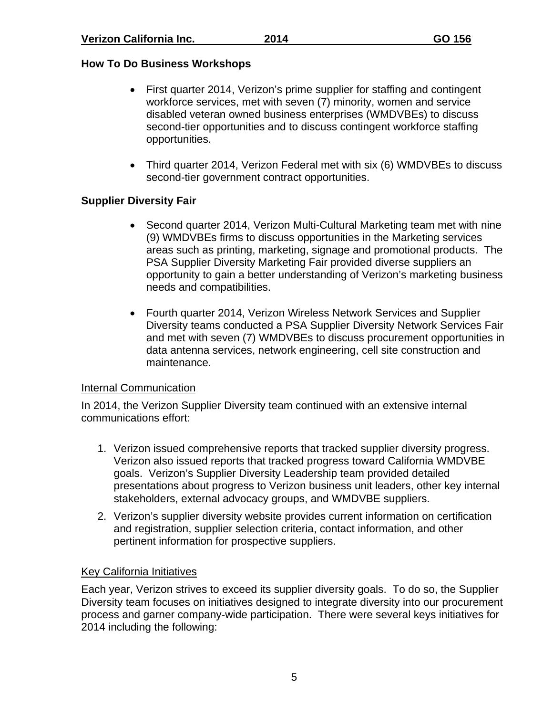# **How To Do Business Workshops**

- First quarter 2014, Verizon's prime supplier for staffing and contingent workforce services, met with seven (7) minority, women and service disabled veteran owned business enterprises (WMDVBEs) to discuss second-tier opportunities and to discuss contingent workforce staffing opportunities.
- Third quarter 2014, Verizon Federal met with six (6) WMDVBEs to discuss second-tier government contract opportunities.

# **Supplier Diversity Fair**

- Second quarter 2014, Verizon Multi-Cultural Marketing team met with nine (9) WMDVBEs firms to discuss opportunities in the Marketing services areas such as printing, marketing, signage and promotional products. The PSA Supplier Diversity Marketing Fair provided diverse suppliers an opportunity to gain a better understanding of Verizon's marketing business needs and compatibilities.
- Fourth quarter 2014, Verizon Wireless Network Services and Supplier Diversity teams conducted a PSA Supplier Diversity Network Services Fair and met with seven (7) WMDVBEs to discuss procurement opportunities in data antenna services, network engineering, cell site construction and maintenance.

# Internal Communication

In 2014, the Verizon Supplier Diversity team continued with an extensive internal communications effort:

- 1. Verizon issued comprehensive reports that tracked supplier diversity progress. Verizon also issued reports that tracked progress toward California WMDVBE goals. Verizon's Supplier Diversity Leadership team provided detailed presentations about progress to Verizon business unit leaders, other key internal stakeholders, external advocacy groups, and WMDVBE suppliers.
- 2. Verizon's supplier diversity website provides current information on certification and registration, supplier selection criteria, contact information, and other pertinent information for prospective suppliers.

# Key California Initiatives

Each year, Verizon strives to exceed its supplier diversity goals. To do so, the Supplier Diversity team focuses on initiatives designed to integrate diversity into our procurement process and garner company-wide participation. There were several keys initiatives for 2014 including the following: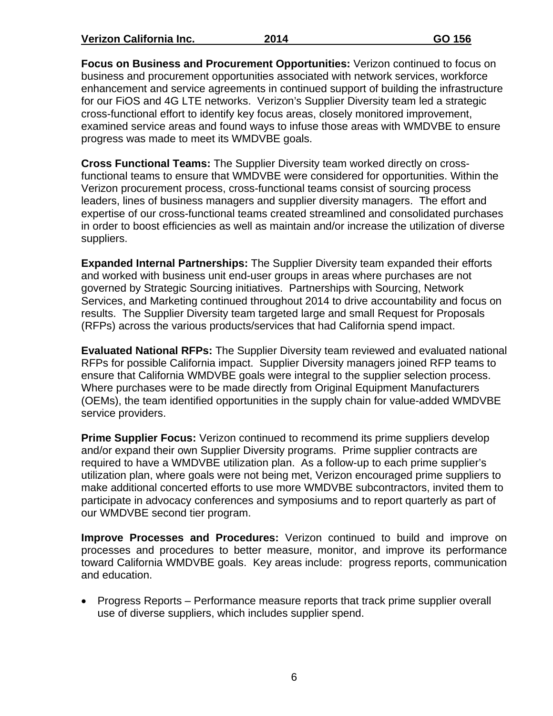**Verizon California Inc. 2014 GO 156** 

**Focus on Business and Procurement Opportunities:** Verizon continued to focus on business and procurement opportunities associated with network services, workforce enhancement and service agreements in continued support of building the infrastructure for our FiOS and 4G LTE networks. Verizon's Supplier Diversity team led a strategic cross-functional effort to identify key focus areas, closely monitored improvement, examined service areas and found ways to infuse those areas with WMDVBE to ensure progress was made to meet its WMDVBE goals.

**Cross Functional Teams:** The Supplier Diversity team worked directly on crossfunctional teams to ensure that WMDVBE were considered for opportunities. Within the Verizon procurement process, cross-functional teams consist of sourcing process leaders, lines of business managers and supplier diversity managers. The effort and expertise of our cross-functional teams created streamlined and consolidated purchases in order to boost efficiencies as well as maintain and/or increase the utilization of diverse suppliers.

**Expanded Internal Partnerships:** The Supplier Diversity team expanded their efforts and worked with business unit end-user groups in areas where purchases are not governed by Strategic Sourcing initiatives. Partnerships with Sourcing, Network Services, and Marketing continued throughout 2014 to drive accountability and focus on results. The Supplier Diversity team targeted large and small Request for Proposals (RFPs) across the various products/services that had California spend impact.

**Evaluated National RFPs:** The Supplier Diversity team reviewed and evaluated national RFPs for possible California impact. Supplier Diversity managers joined RFP teams to ensure that California WMDVBE goals were integral to the supplier selection process. Where purchases were to be made directly from Original Equipment Manufacturers (OEMs), the team identified opportunities in the supply chain for value-added WMDVBE service providers.

**Prime Supplier Focus:** Verizon continued to recommend its prime suppliers develop and/or expand their own Supplier Diversity programs. Prime supplier contracts are required to have a WMDVBE utilization plan. As a follow-up to each prime supplier's utilization plan, where goals were not being met, Verizon encouraged prime suppliers to make additional concerted efforts to use more WMDVBE subcontractors, invited them to participate in advocacy conferences and symposiums and to report quarterly as part of our WMDVBE second tier program.

**Improve Processes and Procedures:** Verizon continued to build and improve on processes and procedures to better measure, monitor, and improve its performance toward California WMDVBE goals. Key areas include: progress reports, communication and education.

• Progress Reports – Performance measure reports that track prime supplier overall use of diverse suppliers, which includes supplier spend.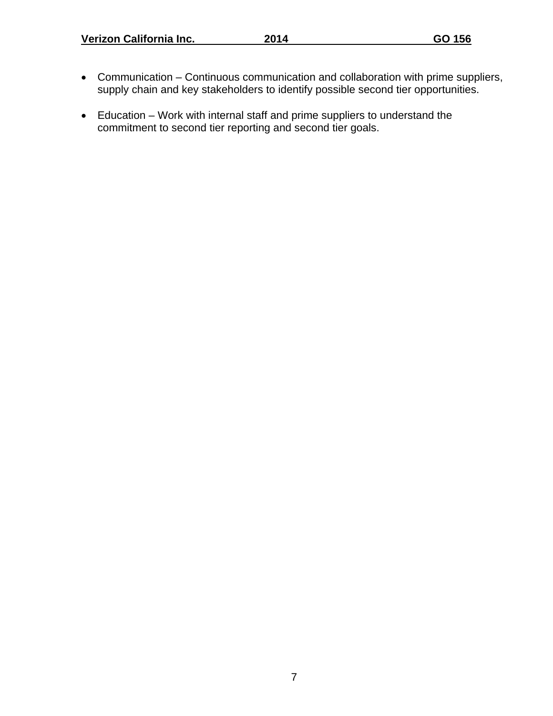- Communication Continuous communication and collaboration with prime suppliers, supply chain and key stakeholders to identify possible second tier opportunities.
- Education Work with internal staff and prime suppliers to understand the commitment to second tier reporting and second tier goals.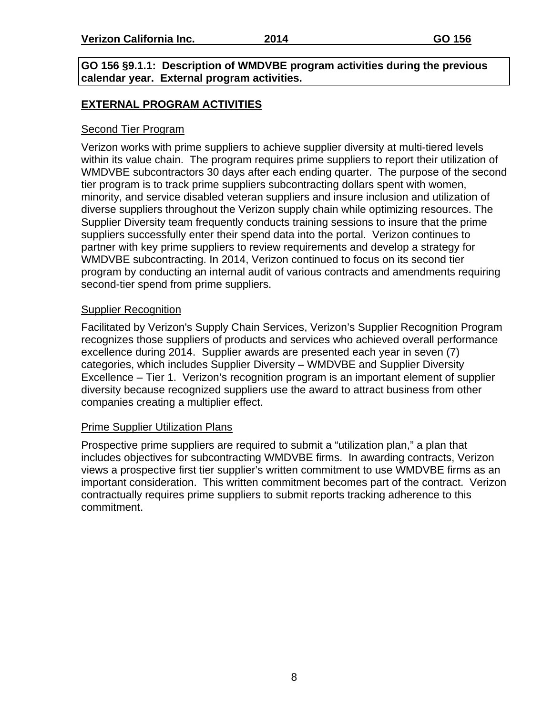# **GO 156 §9.1.1: Description of WMDVBE program activities during the previous calendar year. External program activities.**

# **EXTERNAL PROGRAM ACTIVITIES**

# Second Tier Program

Verizon works with prime suppliers to achieve supplier diversity at multi-tiered levels within its value chain. The program requires prime suppliers to report their utilization of WMDVBE subcontractors 30 days after each ending quarter. The purpose of the second tier program is to track prime suppliers subcontracting dollars spent with women, minority, and service disabled veteran suppliers and insure inclusion and utilization of diverse suppliers throughout the Verizon supply chain while optimizing resources. The Supplier Diversity team frequently conducts training sessions to insure that the prime suppliers successfully enter their spend data into the portal. Verizon continues to partner with key prime suppliers to review requirements and develop a strategy for WMDVBE subcontracting. In 2014, Verizon continued to focus on its second tier program by conducting an internal audit of various contracts and amendments requiring second-tier spend from prime suppliers.

# Supplier Recognition

Facilitated by Verizon's Supply Chain Services, Verizon's Supplier Recognition Program recognizes those suppliers of products and services who achieved overall performance excellence during 2014. Supplier awards are presented each year in seven (7) categories, which includes Supplier Diversity – WMDVBE and Supplier Diversity Excellence – Tier 1. Verizon's recognition program is an important element of supplier diversity because recognized suppliers use the award to attract business from other companies creating a multiplier effect.

#### Prime Supplier Utilization Plans

Prospective prime suppliers are required to submit a "utilization plan," a plan that includes objectives for subcontracting WMDVBE firms. In awarding contracts, Verizon views a prospective first tier supplier's written commitment to use WMDVBE firms as an important consideration. This written commitment becomes part of the contract. Verizon contractually requires prime suppliers to submit reports tracking adherence to this commitment.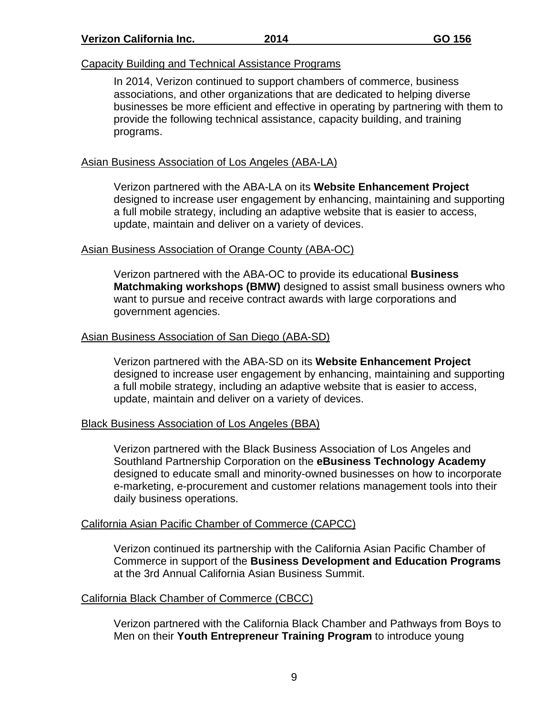#### Capacity Building and Technical Assistance Programs

In 2014, Verizon continued to support chambers of commerce, business associations, and other organizations that are dedicated to helping diverse businesses be more efficient and effective in operating by partnering with them to provide the following technical assistance, capacity building, and training programs.

### Asian Business Association of Los Angeles (ABA-LA)

Verizon partnered with the ABA-LA on its **Website Enhancement Project** designed to increase user engagement by enhancing, maintaining and supporting a full mobile strategy, including an adaptive website that is easier to access, update, maintain and deliver on a variety of devices.

#### Asian Business Association of Orange County (ABA-OC)

Verizon partnered with the ABA-OC to provide its educational **Business Matchmaking workshops (BMW)** designed to assist small business owners who want to pursue and receive contract awards with large corporations and government agencies.

#### Asian Business Association of San Diego (ABA-SD)

Verizon partnered with the ABA-SD on its **Website Enhancement Project** designed to increase user engagement by enhancing, maintaining and supporting a full mobile strategy, including an adaptive website that is easier to access, update, maintain and deliver on a variety of devices.

#### Black Business Association of Los Angeles (BBA)

Verizon partnered with the Black Business Association of Los Angeles and Southland Partnership Corporation on the **eBusiness Technology Academy** designed to educate small and minority-owned businesses on how to incorporate e-marketing, e-procurement and customer relations management tools into their daily business operations.

#### California Asian Pacific Chamber of Commerce (CAPCC)

Verizon continued its partnership with the California Asian Pacific Chamber of Commerce in support of the **Business Development and Education Programs** at the 3rd Annual California Asian Business Summit.

#### California Black Chamber of Commerce (CBCC)

Verizon partnered with the California Black Chamber and Pathways from Boys to Men on their **Youth Entrepreneur Training Program** to introduce young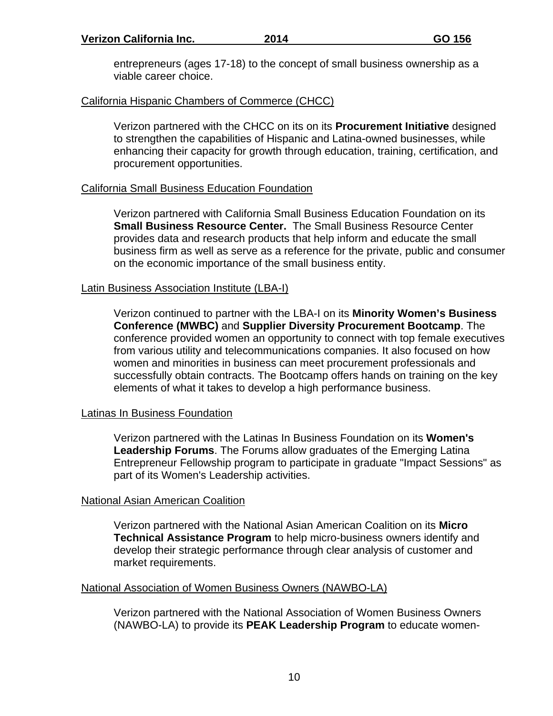entrepreneurs (ages 17-18) to the concept of small business ownership as a viable career choice.

# California Hispanic Chambers of Commerce (CHCC)

Verizon partnered with the CHCC on its on its **Procurement Initiative** designed to strengthen the capabilities of Hispanic and Latina-owned businesses, while enhancing their capacity for growth through education, training, certification, and procurement opportunities.

# California Small Business Education Foundation

Verizon partnered with California Small Business Education Foundation on its **Small Business Resource Center.** The Small Business Resource Center provides data and research products that help inform and educate the small business firm as well as serve as a reference for the private, public and consumer on the economic importance of the small business entity.

# Latin Business Association Institute (LBA-I)

Verizon continued to partner with the LBA-I on its **Minority Women's Business Conference (MWBC)** and **Supplier Diversity Procurement Bootcamp**. The conference provided women an opportunity to connect with top female executives from various utility and telecommunications companies. It also focused on how women and minorities in business can meet procurement professionals and successfully obtain contracts. The Bootcamp offers hands on training on the key elements of what it takes to develop a high performance business.

# Latinas In Business Foundation

Verizon partnered with the Latinas In Business Foundation on its **Women's Leadership Forums**. The Forums allow graduates of the Emerging Latina Entrepreneur Fellowship program to participate in graduate "Impact Sessions" as part of its Women's Leadership activities.

#### National Asian American Coalition

Verizon partnered with the National Asian American Coalition on its **Micro Technical Assistance Program** to help micro-business owners identify and develop their strategic performance through clear analysis of customer and market requirements.

# National Association of Women Business Owners (NAWBO-LA)

Verizon partnered with the National Association of Women Business Owners (NAWBO-LA) to provide its **PEAK Leadership Program** to educate women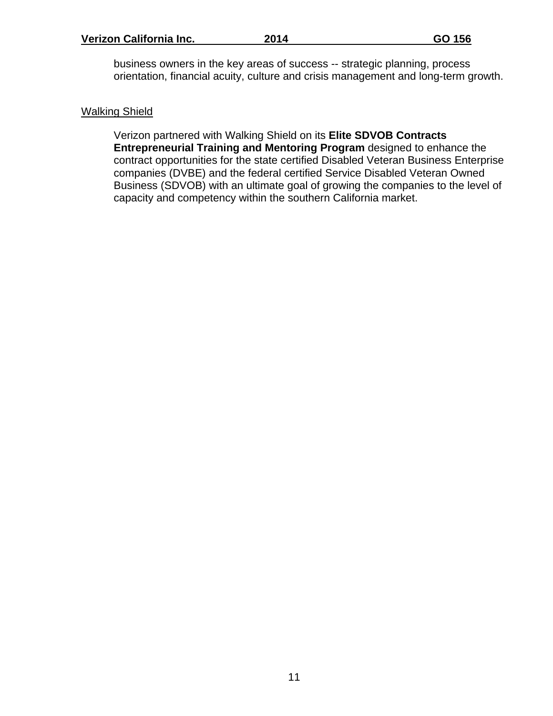business owners in the key areas of success -- strategic planning, process orientation, financial acuity, culture and crisis management and long-term growth.

#### Walking Shield

Verizon partnered with Walking Shield on its **Elite SDVOB Contracts Entrepreneurial Training and Mentoring Program** designed to enhance the contract opportunities for the state certified Disabled Veteran Business Enterprise companies (DVBE) and the federal certified Service Disabled Veteran Owned Business (SDVOB) with an ultimate goal of growing the companies to the level of capacity and competency within the southern California market.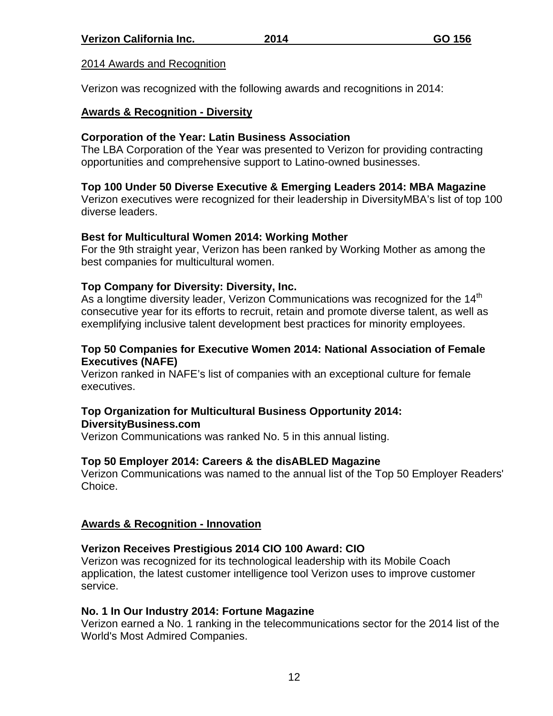# 2014 Awards and Recognition

Verizon was recognized with the following awards and recognitions in 2014:

### **Awards & Recognition - Diversity**

# **Corporation of the Year: Latin Business Association**

The LBA Corporation of the Year was presented to Verizon for providing contracting opportunities and comprehensive support to Latino-owned businesses.

# **Top 100 Under 50 Diverse Executive & Emerging Leaders 2014: MBA Magazine**

Verizon executives were recognized for their leadership in DiversityMBA's list of top 100 diverse leaders.

#### **Best for Multicultural Women 2014: Working Mother**

For the 9th straight year, Verizon has been ranked by Working Mother as among the best companies for multicultural women.

# **Top Company for Diversity: Diversity, Inc.**

As a longtime diversity leader, Verizon Communications was recognized for the  $14<sup>th</sup>$ consecutive year for its efforts to recruit, retain and promote diverse talent, as well as exemplifying inclusive talent development best practices for minority employees.

### **Top 50 Companies for Executive Women 2014: National Association of Female Executives (NAFE)**

Verizon ranked in NAFE's list of companies with an exceptional culture for female executives.

#### **Top Organization for Multicultural Business Opportunity 2014: DiversityBusiness.com**

Verizon Communications was ranked No. 5 in this annual listing.

# **Top 50 Employer 2014: Careers & the disABLED Magazine**

Verizon Communications was named to the annual list of the Top 50 Employer Readers' Choice.

# **Awards & Recognition - Innovation**

# **Verizon Receives Prestigious 2014 CIO 100 Award: CIO**

Verizon was recognized for its technological leadership with its Mobile Coach application, the latest customer intelligence tool Verizon uses to improve customer service.

#### **No. 1 In Our Industry 2014: Fortune Magazine**

Verizon earned a No. 1 ranking in the telecommunications sector for the 2014 list of the World's Most Admired Companies.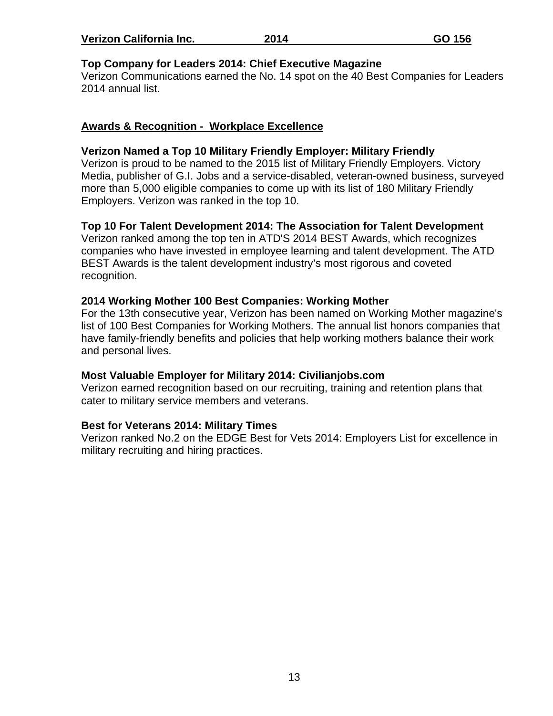| Verizon California Inc. | 2014 | GO 156 |
|-------------------------|------|--------|
|-------------------------|------|--------|

#### **Top Company for Leaders 2014: Chief Executive Magazine**

Verizon Communications earned the No. 14 spot on the 40 Best Companies for Leaders 2014 annual list.

#### **Awards & Recognition - Workplace Excellence**

#### **Verizon Named a Top 10 Military Friendly Employer: Military Friendly**

Verizon is proud to be named to the 2015 list of Military Friendly Employers. Victory Media, publisher of G.I. Jobs and a service-disabled, veteran-owned business, surveyed more than 5,000 eligible companies to come up with its list of 180 Military Friendly Employers. Verizon was ranked in the top 10.

### **Top 10 For Talent Development 2014: The Association for Talent Development**

Verizon ranked among the top ten in ATD'S 2014 BEST Awards, which recognizes companies who have invested in employee learning and talent development. The ATD BEST Awards is the talent development industry's most rigorous and coveted recognition.

#### **2014 Working Mother 100 Best Companies: Working Mother**

For the 13th consecutive year, Verizon has been named on Working Mother magazine's list of 100 Best Companies for Working Mothers. The annual list honors companies that have family-friendly benefits and policies that help working mothers balance their work and personal lives.

#### **Most Valuable Employer for Military 2014: Civilianjobs.com**

Verizon earned recognition based on our recruiting, training and retention plans that cater to military service members and veterans.

#### **Best for Veterans 2014: Military Times**

Verizon ranked No.2 on the EDGE Best for Vets 2014: Employers List for excellence in military recruiting and hiring practices.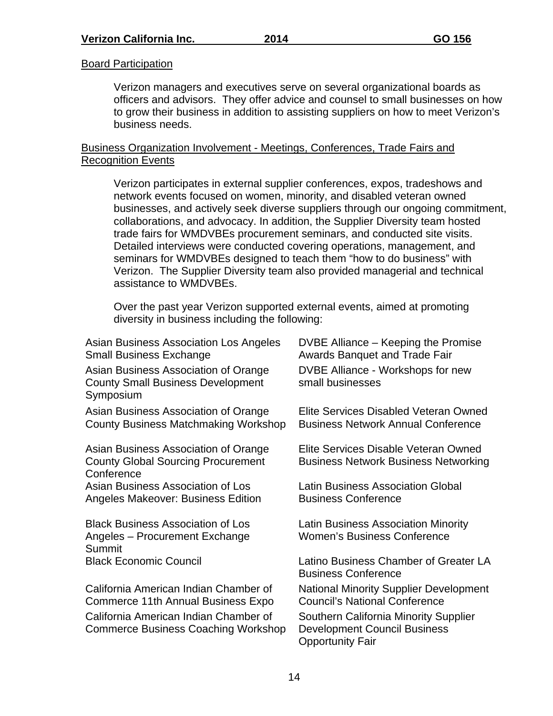# **Board Participation**

Verizon managers and executives serve on several organizational boards as officers and advisors. They offer advice and counsel to small businesses on how to grow their business in addition to assisting suppliers on how to meet Verizon's business needs.

# Business Organization Involvement - Meetings, Conferences, Trade Fairs and Recognition Events

Verizon participates in external supplier conferences, expos, tradeshows and network events focused on women, minority, and disabled veteran owned businesses, and actively seek diverse suppliers through our ongoing commitment, collaborations, and advocacy. In addition, the Supplier Diversity team hosted trade fairs for WMDVBEs procurement seminars, and conducted site visits. Detailed interviews were conducted covering operations, management, and seminars for WMDVBEs designed to teach them "how to do business" with Verizon. The Supplier Diversity team also provided managerial and technical assistance to WMDVBEs.

Over the past year Verizon supported external events, aimed at promoting diversity in business including the following:

| Asian Business Association Los Angeles<br><b>Small Business Exchange</b>                        | DVBE Alliance – Keeping the Promise<br><b>Awards Banquet and Trade Fair</b>                             |
|-------------------------------------------------------------------------------------------------|---------------------------------------------------------------------------------------------------------|
| Asian Business Association of Orange<br><b>County Small Business Development</b><br>Symposium   | DVBE Alliance - Workshops for new<br>small businesses                                                   |
| Asian Business Association of Orange<br><b>County Business Matchmaking Workshop</b>             | Elite Services Disabled Veteran Owned<br><b>Business Network Annual Conference</b>                      |
| Asian Business Association of Orange<br><b>County Global Sourcing Procurement</b><br>Conference | Elite Services Disable Veteran Owned<br><b>Business Network Business Networking</b>                     |
| Asian Business Association of Los<br>Angeles Makeover: Business Edition                         | <b>Latin Business Association Global</b><br><b>Business Conference</b>                                  |
| <b>Black Business Association of Los</b><br>Angeles - Procurement Exchange<br>Summit            | <b>Latin Business Association Minority</b><br><b>Women's Business Conference</b>                        |
| <b>Black Economic Council</b>                                                                   | Latino Business Chamber of Greater LA<br><b>Business Conference</b>                                     |
| California American Indian Chamber of<br>Commerce 11th Annual Business Expo                     | <b>National Minority Supplier Development</b><br><b>Council's National Conference</b>                   |
| California American Indian Chamber of<br><b>Commerce Business Coaching Workshop</b>             | Southern California Minority Supplier<br><b>Development Council Business</b><br><b>Opportunity Fair</b> |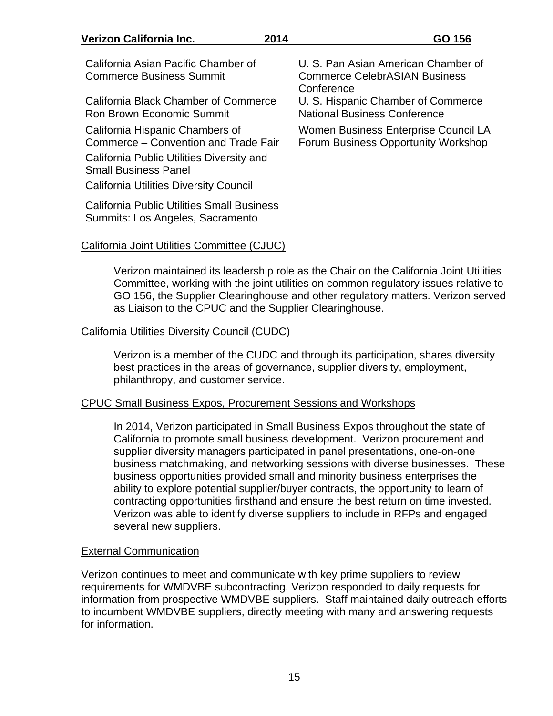#### **Verizon California Inc. 2014 GO 156**  California Asian Pacific Chamber of Commerce Business Summit U. S. Pan Asian American Chamber of Commerce CelebrASIAN Business **Conference** California Black Chamber of Commerce Ron Brown Economic Summit U. S. Hispanic Chamber of Commerce National Business Conference California Hispanic Chambers of Commerce – Convention and Trade Fair Women Business Enterprise Council LA Forum Business Opportunity Workshop California Public Utilities Diversity and Small Business Panel California Utilities Diversity Council California Public Utilities Small Business

#### California Joint Utilities Committee (CJUC)

Summits: Los Angeles, Sacramento

Verizon maintained its leadership role as the Chair on the California Joint Utilities Committee, working with the joint utilities on common regulatory issues relative to GO 156, the Supplier Clearinghouse and other regulatory matters. Verizon served as Liaison to the CPUC and the Supplier Clearinghouse.

#### California Utilities Diversity Council (CUDC)

Verizon is a member of the CUDC and through its participation, shares diversity best practices in the areas of governance, supplier diversity, employment, philanthropy, and customer service.

#### CPUC Small Business Expos, Procurement Sessions and Workshops

In 2014, Verizon participated in Small Business Expos throughout the state of California to promote small business development. Verizon procurement and supplier diversity managers participated in panel presentations, one-on-one business matchmaking, and networking sessions with diverse businesses. These business opportunities provided small and minority business enterprises the ability to explore potential supplier/buyer contracts, the opportunity to learn of contracting opportunities firsthand and ensure the best return on time invested. Verizon was able to identify diverse suppliers to include in RFPs and engaged several new suppliers.

#### External Communication

Verizon continues to meet and communicate with key prime suppliers to review requirements for WMDVBE subcontracting. Verizon responded to daily requests for information from prospective WMDVBE suppliers. Staff maintained daily outreach efforts to incumbent WMDVBE suppliers, directly meeting with many and answering requests for information.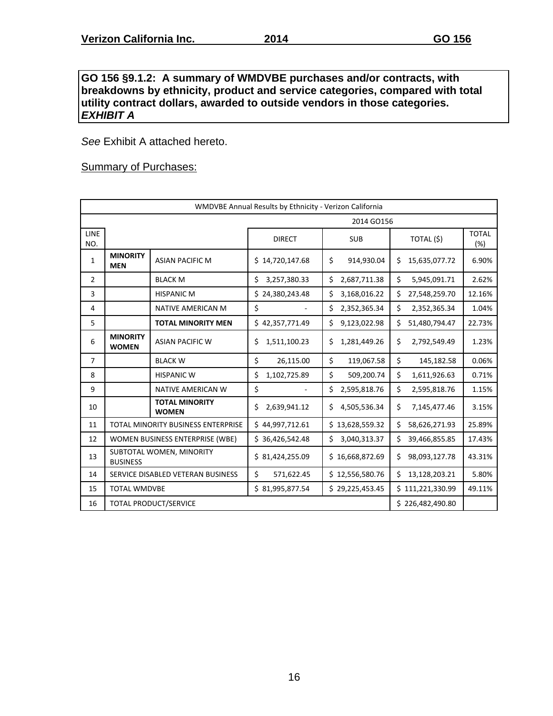#### **GO 156 §9.1.2: A summary of WMDVBE purchases and/or contracts, with breakdowns by ethnicity, product and service categories, compared with total utility contract dollars, awarded to outside vendors in those categories.**  *EXHIBIT A*

*See* Exhibit A attached hereto.

# Summary of Purchases:

|                    | WMDVBE Annual Results by Ethnicity - Verizon California |                                           |                    |                    |                     |                     |  |  |  |  |  |  |
|--------------------|---------------------------------------------------------|-------------------------------------------|--------------------|--------------------|---------------------|---------------------|--|--|--|--|--|--|
|                    |                                                         |                                           |                    | 2014 GO156         |                     |                     |  |  |  |  |  |  |
| <b>LINE</b><br>NO. |                                                         |                                           | <b>DIRECT</b>      | <b>SUB</b>         | TOTAL (\$)          | <b>TOTAL</b><br>(%) |  |  |  |  |  |  |
| 1                  | <b>MINORITY</b><br><b>MEN</b>                           | <b>ASIAN PACIFIC M</b>                    | \$14,720,147.68    | \$<br>914,930.04   | Ś.<br>15,635,077.72 | 6.90%               |  |  |  |  |  |  |
| $\overline{2}$     |                                                         | <b>BLACK M</b>                            | \$<br>3,257,380.33 | \$<br>2,687,711.38 | Ś.<br>5,945,091.71  | 2.62%               |  |  |  |  |  |  |
| 3                  |                                                         | <b>HISPANIC M</b>                         | \$24,380,243.48    | \$<br>3,168,016.22 | Ś.<br>27,548,259.70 | 12.16%              |  |  |  |  |  |  |
| 4                  |                                                         | <b>NATIVE AMERICAN M</b>                  | \$                 | \$<br>2,352,365.34 | \$<br>2,352,365.34  | 1.04%               |  |  |  |  |  |  |
| 5                  |                                                         | <b>TOTAL MINORITY MEN</b>                 | \$42,357,771.49    | \$<br>9,123,022.98 | Ś.<br>51,480,794.47 | 22.73%              |  |  |  |  |  |  |
| 6                  | <b>MINORITY</b><br><b>WOMEN</b>                         | <b>ASIAN PACIFIC W</b>                    | \$<br>1,511,100.23 | \$<br>1,281,449.26 | \$<br>2,792,549.49  | 1.23%               |  |  |  |  |  |  |
| $\overline{7}$     |                                                         | <b>BLACK W</b>                            | \$<br>26,115.00    | \$<br>119,067.58   | \$<br>145,182.58    | 0.06%               |  |  |  |  |  |  |
| 8                  |                                                         | <b>HISPANIC W</b>                         | \$<br>1,102,725.89 | \$<br>509,200.74   | \$<br>1,611,926.63  | 0.71%               |  |  |  |  |  |  |
| 9                  |                                                         | <b>NATIVE AMERICAN W</b>                  | \$                 | \$<br>2,595,818.76 | \$<br>2,595,818.76  | 1.15%               |  |  |  |  |  |  |
| 10                 |                                                         | <b>TOTAL MINORITY</b><br><b>WOMEN</b>     | Ś<br>2,639,941.12  | Ś.<br>4,505,536.34 | \$<br>7,145,477.46  | 3.15%               |  |  |  |  |  |  |
| 11                 |                                                         | <b>TOTAL MINORITY BUSINESS ENTERPRISE</b> | \$44,997,712.61    | \$13,628,559.32    | \$<br>58,626,271.93 | 25.89%              |  |  |  |  |  |  |
| 12                 |                                                         | WOMEN BUSINESS ENTERPRISE (WBE)           | \$36,426,542.48    | Ś.<br>3,040,313.37 | \$<br>39,466,855.85 | 17.43%              |  |  |  |  |  |  |
| 13                 | <b>BUSINESS</b>                                         | SUBTOTAL WOMEN, MINORITY                  | \$31,424,255.09    | \$16,668,872.69    | Ś.<br>98,093,127.78 | 43.31%              |  |  |  |  |  |  |
| 14                 |                                                         | SERVICE DISABLED VETERAN BUSINESS         | \$<br>571,622.45   | \$12,556,580.76    | Ś.<br>13,128,203.21 | 5.80%               |  |  |  |  |  |  |
| 15                 | <b>TOTAL WMDVBE</b>                                     |                                           | \$81,995,877.54    | \$29,225,453.45    | \$111,221,330.99    | 49.11%              |  |  |  |  |  |  |
| 16                 |                                                         | <b>TOTAL PRODUCT/SERVICE</b>              |                    |                    | \$226,482,490.80    |                     |  |  |  |  |  |  |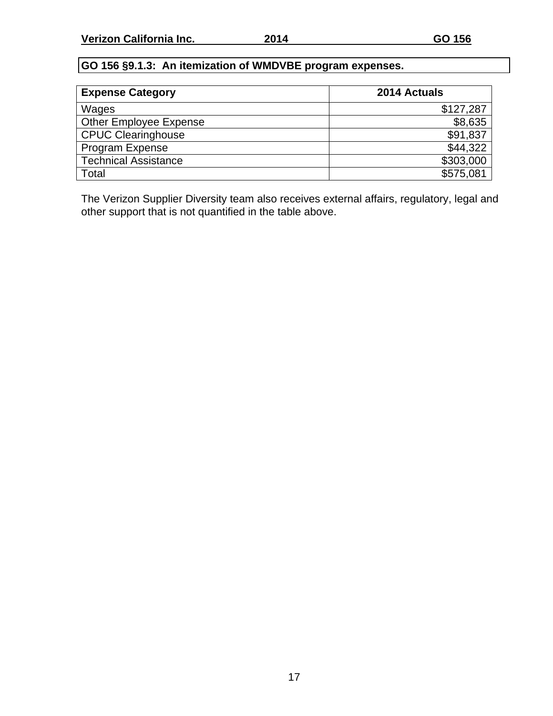# **GO 156 §9.1.3: An itemization of WMDVBE program expenses.**

| <b>Expense Category</b>     | 2014 Actuals |
|-----------------------------|--------------|
| Wages                       | \$127,287    |
| Other Employee Expense      | \$8,635      |
| <b>CPUC Clearinghouse</b>   | \$91,837     |
| Program Expense             | \$44,322     |
| <b>Technical Assistance</b> | \$303,000    |
| Total                       | \$575,081    |

The Verizon Supplier Diversity team also receives external affairs, regulatory, legal and other support that is not quantified in the table above.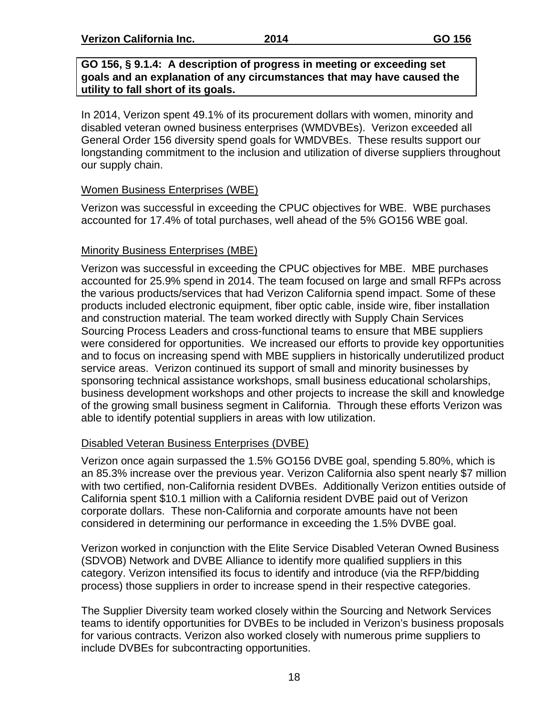#### **GO 156, § 9.1.4: A description of progress in meeting or exceeding set goals and an explanation of any circumstances that may have caused the utility to fall short of its goals.**

In 2014, Verizon spent 49.1% of its procurement dollars with women, minority and disabled veteran owned business enterprises (WMDVBEs). Verizon exceeded all General Order 156 diversity spend goals for WMDVBEs. These results support our longstanding commitment to the inclusion and utilization of diverse suppliers throughout our supply chain.

# Women Business Enterprises (WBE)

Verizon was successful in exceeding the CPUC objectives for WBE. WBE purchases accounted for 17.4% of total purchases, well ahead of the 5% GO156 WBE goal.

# Minority Business Enterprises (MBE)

Verizon was successful in exceeding the CPUC objectives for MBE. MBE purchases accounted for 25.9% spend in 2014. The team focused on large and small RFPs across the various products/services that had Verizon California spend impact. Some of these products included electronic equipment, fiber optic cable, inside wire, fiber installation and construction material. The team worked directly with Supply Chain Services Sourcing Process Leaders and cross-functional teams to ensure that MBE suppliers were considered for opportunities. We increased our efforts to provide key opportunities and to focus on increasing spend with MBE suppliers in historically underutilized product service areas. Verizon continued its support of small and minority businesses by sponsoring technical assistance workshops, small business educational scholarships, business development workshops and other projects to increase the skill and knowledge of the growing small business segment in California. Through these efforts Verizon was able to identify potential suppliers in areas with low utilization.

# Disabled Veteran Business Enterprises (DVBE)

Verizon once again surpassed the 1.5% GO156 DVBE goal, spending 5.80%, which is an 85.3% increase over the previous year. Verizon California also spent nearly \$7 million with two certified, non-California resident DVBEs. Additionally Verizon entities outside of California spent \$10.1 million with a California resident DVBE paid out of Verizon corporate dollars. These non-California and corporate amounts have not been considered in determining our performance in exceeding the 1.5% DVBE goal.

Verizon worked in conjunction with the Elite Service Disabled Veteran Owned Business (SDVOB) Network and DVBE Alliance to identify more qualified suppliers in this category. Verizon intensified its focus to identify and introduce (via the RFP/bidding process) those suppliers in order to increase spend in their respective categories.

The Supplier Diversity team worked closely within the Sourcing and Network Services teams to identify opportunities for DVBEs to be included in Verizon's business proposals for various contracts. Verizon also worked closely with numerous prime suppliers to include DVBEs for subcontracting opportunities.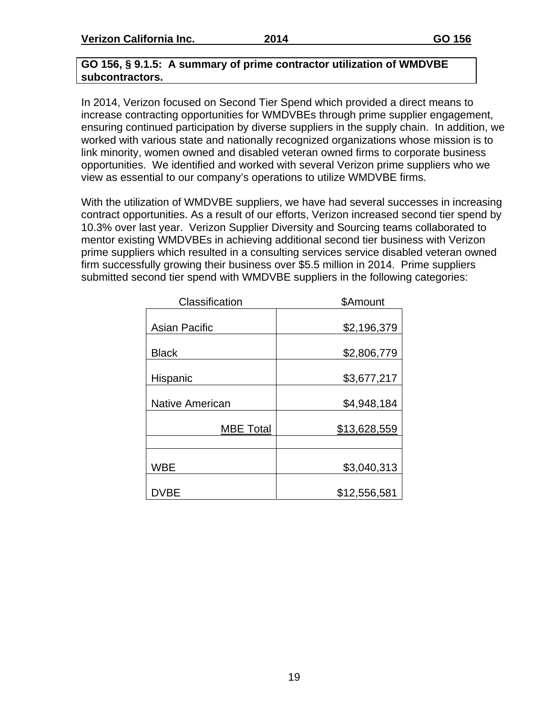**Verizon California Inc. 2014 GO 156** 

#### **GO 156, § 9.1.5: A summary of prime contractor utilization of WMDVBE subcontractors.**

In 2014, Verizon focused on Second Tier Spend which provided a direct means to increase contracting opportunities for WMDVBEs through prime supplier engagement, ensuring continued participation by diverse suppliers in the supply chain. In addition, we worked with various state and nationally recognized organizations whose mission is to link minority, women owned and disabled veteran owned firms to corporate business opportunities. We identified and worked with several Verizon prime suppliers who we view as essential to our company's operations to utilize WMDVBE firms.

With the utilization of WMDVBE suppliers, we have had several successes in increasing contract opportunities. As a result of our efforts, Verizon increased second tier spend by 10.3% over last year. Verizon Supplier Diversity and Sourcing teams collaborated to mentor existing WMDVBEs in achieving additional second tier business with Verizon prime suppliers which resulted in a consulting services service disabled veteran owned firm successfully growing their business over \$5.5 million in 2014. Prime suppliers submitted second tier spend with WMDVBE suppliers in the following categories:

| Classification         | \$Amount     |
|------------------------|--------------|
| <b>Asian Pacific</b>   | \$2,196,379  |
| <b>Black</b>           | \$2,806,779  |
| Hispanic               | \$3,677,217  |
| <b>Native American</b> | \$4,948,184  |
| <b>MBE Total</b>       | \$13,628,559 |
|                        |              |
| <b>WBE</b>             | \$3,040,313  |
| DVBE                   | \$12,556,581 |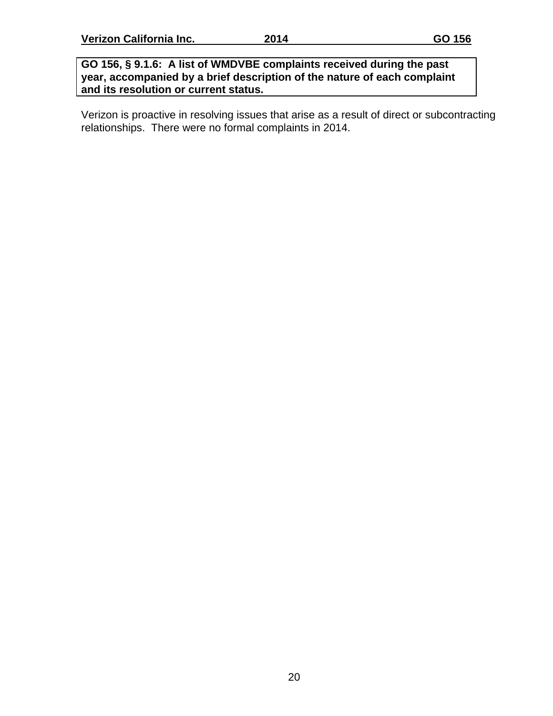#### **GO 156, § 9.1.6: A list of WMDVBE complaints received during the past year, accompanied by a brief description of the nature of each complaint and its resolution or current status.**

Verizon is proactive in resolving issues that arise as a result of direct or subcontracting relationships. There were no formal complaints in 2014.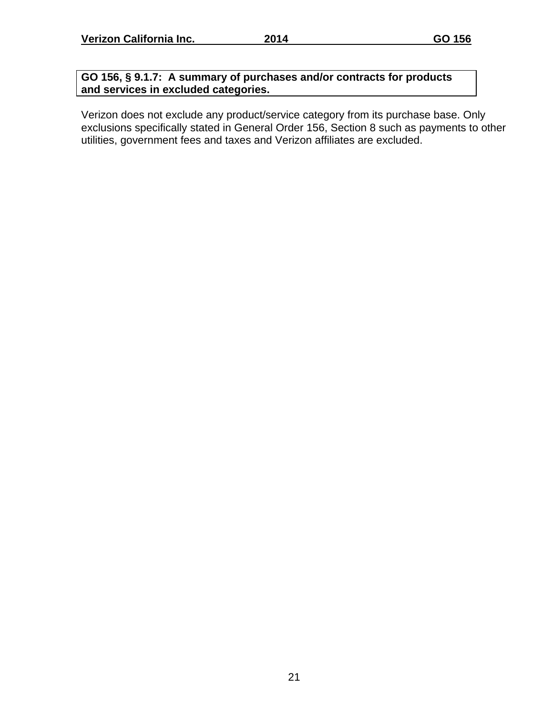# **GO 156, § 9.1.7: A summary of purchases and/or contracts for products and services in excluded categories.**

Verizon does not exclude any product/service category from its purchase base. Only exclusions specifically stated in General Order 156, Section 8 such as payments to other utilities, government fees and taxes and Verizon affiliates are excluded.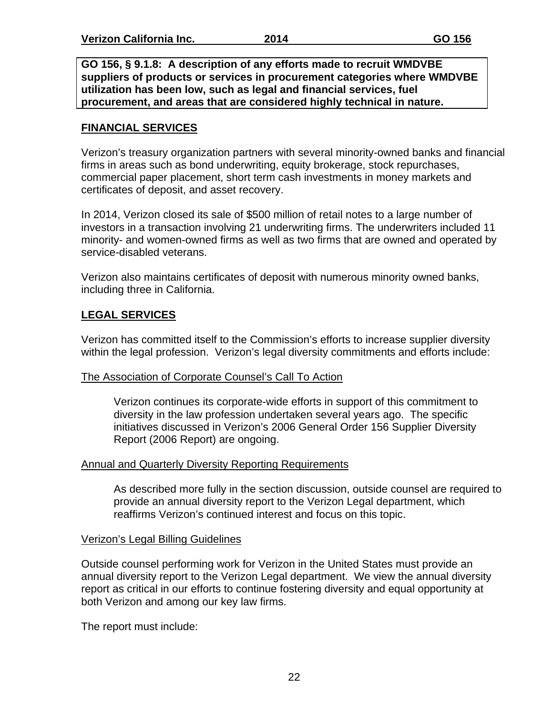**GO 156, § 9.1.8: A description of any efforts made to recruit WMDVBE suppliers of products or services in procurement categories where WMDVBE utilization has been low, such as legal and financial services, fuel procurement, and areas that are considered highly technical in nature.**

# **FINANCIAL SERVICES**

Verizon's treasury organization partners with several minority-owned banks and financial firms in areas such as bond underwriting, equity brokerage, stock repurchases, commercial paper placement, short term cash investments in money markets and certificates of deposit, and asset recovery.

In 2014, Verizon closed its sale of \$500 million of retail notes to a large number of investors in a transaction involving 21 underwriting firms. The underwriters included 11 minority- and women-owned firms as well as two firms that are owned and operated by service-disabled veterans.

Verizon also maintains certificates of deposit with numerous minority owned banks, including three in California.

# **LEGAL SERVICES**

Verizon has committed itself to the Commission's efforts to increase supplier diversity within the legal profession. Verizon's legal diversity commitments and efforts include:

# The Association of Corporate Counsel's Call To Action

Verizon continues its corporate-wide efforts in support of this commitment to diversity in the law profession undertaken several years ago. The specific initiatives discussed in Verizon's 2006 General Order 156 Supplier Diversity Report (2006 Report) are ongoing.

# Annual and Quarterly Diversity Reporting Requirements

As described more fully in the section discussion, outside counsel are required to provide an annual diversity report to the Verizon Legal department, which reaffirms Verizon's continued interest and focus on this topic.

# Verizon's Legal Billing Guidelines

Outside counsel performing work for Verizon in the United States must provide an annual diversity report to the Verizon Legal department. We view the annual diversity report as critical in our efforts to continue fostering diversity and equal opportunity at both Verizon and among our key law firms.

The report must include: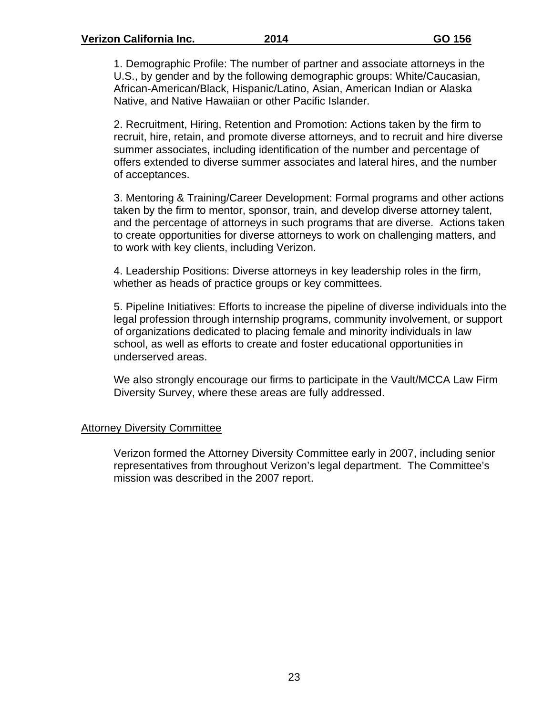1. Demographic Profile: The number of partner and associate attorneys in the U.S., by gender and by the following demographic groups: White/Caucasian, African-American/Black, Hispanic/Latino, Asian, American Indian or Alaska Native, and Native Hawaiian or other Pacific Islander.

2. Recruitment, Hiring, Retention and Promotion: Actions taken by the firm to recruit, hire, retain, and promote diverse attorneys, and to recruit and hire diverse summer associates, including identification of the number and percentage of offers extended to diverse summer associates and lateral hires, and the number of acceptances.

3. Mentoring & Training/Career Development: Formal programs and other actions taken by the firm to mentor, sponsor, train, and develop diverse attorney talent, and the percentage of attorneys in such programs that are diverse. Actions taken to create opportunities for diverse attorneys to work on challenging matters, and to work with key clients, including Verizon.

4. Leadership Positions: Diverse attorneys in key leadership roles in the firm, whether as heads of practice groups or key committees.

5. Pipeline Initiatives: Efforts to increase the pipeline of diverse individuals into the legal profession through internship programs, community involvement, or support of organizations dedicated to placing female and minority individuals in law school, as well as efforts to create and foster educational opportunities in underserved areas.

We also strongly encourage our firms to participate in the Vault/MCCA Law Firm Diversity Survey, where these areas are fully addressed.

#### Attorney Diversity Committee

Verizon formed the Attorney Diversity Committee early in 2007, including senior representatives from throughout Verizon's legal department. The Committee's mission was described in the 2007 report.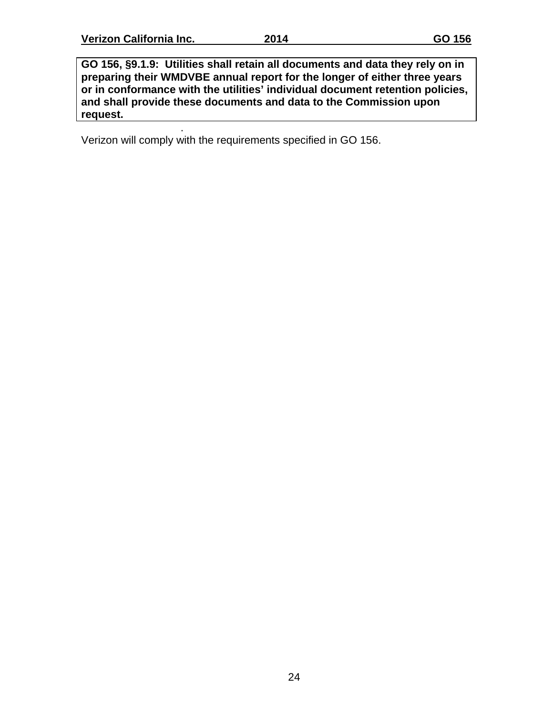.

**GO 156, §9.1.9: Utilities shall retain all documents and data they rely on in preparing their WMDVBE annual report for the longer of either three years or in conformance with the utilities' individual document retention policies, and shall provide these documents and data to the Commission upon request.** 

Verizon will comply with the requirements specified in GO 156.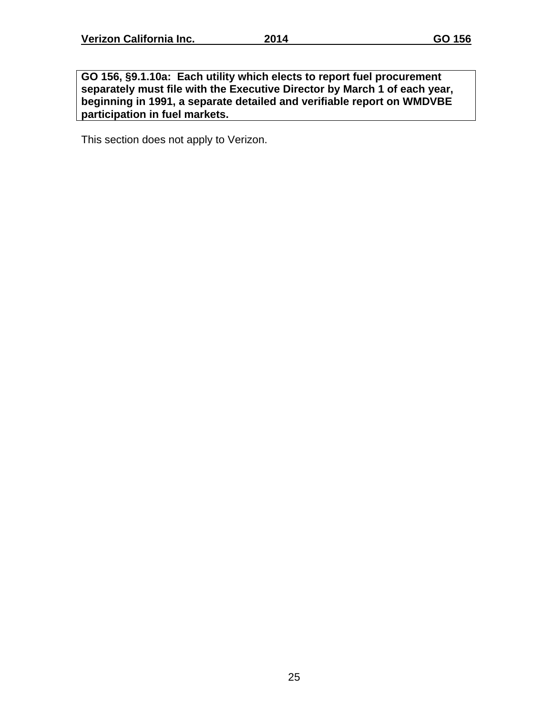**GO 156, §9.1.10a: Each utility which elects to report fuel procurement separately must file with the Executive Director by March 1 of each year, beginning in 1991, a separate detailed and verifiable report on WMDVBE participation in fuel markets.** 

This section does not apply to Verizon.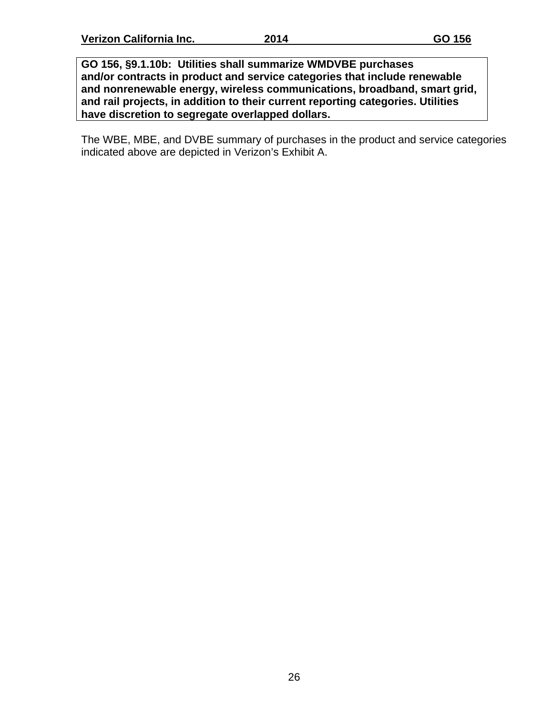**GO 156, §9.1.10b: Utilities shall summarize WMDVBE purchases and/or contracts in product and service categories that include renewable and nonrenewable energy, wireless communications, broadband, smart grid, and rail projects, in addition to their current reporting categories. Utilities have discretion to segregate overlapped dollars.** 

The WBE, MBE, and DVBE summary of purchases in the product and service categories indicated above are depicted in Verizon's Exhibit A.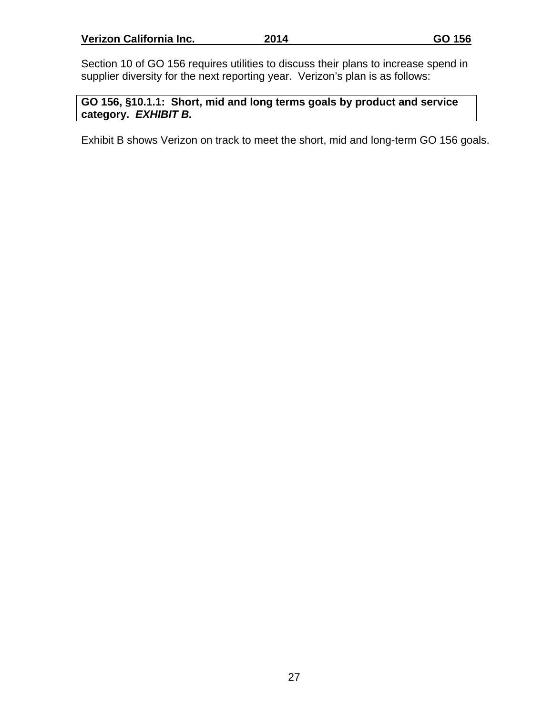Section 10 of GO 156 requires utilities to discuss their plans to increase spend in supplier diversity for the next reporting year. Verizon's plan is as follows:

**GO 156, §10.1.1: Short, mid and long terms goals by product and service category.** *EXHIBIT B.*

Exhibit B shows Verizon on track to meet the short, mid and long-term GO 156 goals.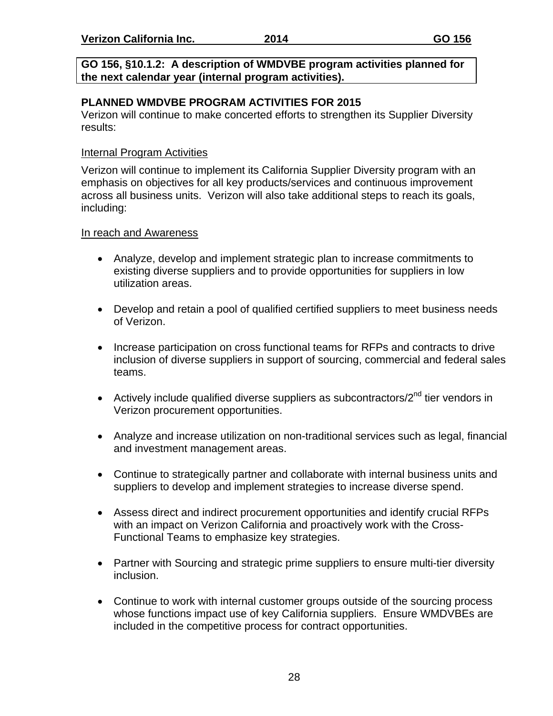**GO 156, §10.1.2: A description of WMDVBE program activities planned for the next calendar year (internal program activities).**

# **PLANNED WMDVBE PROGRAM ACTIVITIES FOR 2015**

Verizon will continue to make concerted efforts to strengthen its Supplier Diversity results:

# Internal Program Activities

Verizon will continue to implement its California Supplier Diversity program with an emphasis on objectives for all key products/services and continuous improvement across all business units. Verizon will also take additional steps to reach its goals, including:

### In reach and Awareness

- Analyze, develop and implement strategic plan to increase commitments to existing diverse suppliers and to provide opportunities for suppliers in low utilization areas.
- Develop and retain a pool of qualified certified suppliers to meet business needs of Verizon.
- Increase participation on cross functional teams for RFPs and contracts to drive inclusion of diverse suppliers in support of sourcing, commercial and federal sales teams.
- Actively include qualified diverse suppliers as subcontractors/ $2<sup>nd</sup>$  tier vendors in Verizon procurement opportunities.
- Analyze and increase utilization on non-traditional services such as legal, financial and investment management areas.
- Continue to strategically partner and collaborate with internal business units and suppliers to develop and implement strategies to increase diverse spend.
- Assess direct and indirect procurement opportunities and identify crucial RFPs with an impact on Verizon California and proactively work with the Cross-Functional Teams to emphasize key strategies.
- Partner with Sourcing and strategic prime suppliers to ensure multi-tier diversity inclusion.
- Continue to work with internal customer groups outside of the sourcing process whose functions impact use of key California suppliers. Ensure WMDVBEs are included in the competitive process for contract opportunities.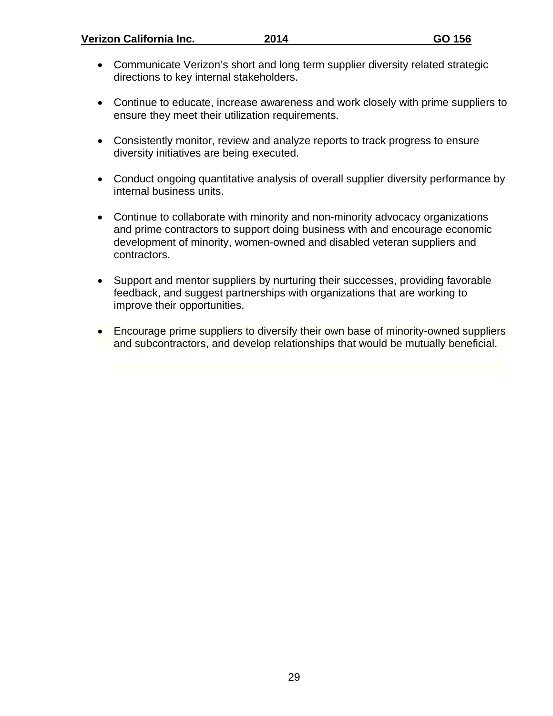- Communicate Verizon's short and long term supplier diversity related strategic directions to key internal stakeholders.
- Continue to educate, increase awareness and work closely with prime suppliers to ensure they meet their utilization requirements.
- Consistently monitor, review and analyze reports to track progress to ensure diversity initiatives are being executed.
- Conduct ongoing quantitative analysis of overall supplier diversity performance by internal business units.
- Continue to collaborate with minority and non-minority advocacy organizations and prime contractors to support doing business with and encourage economic development of minority, women-owned and disabled veteran suppliers and contractors.
- Support and mentor suppliers by nurturing their successes, providing favorable feedback, and suggest partnerships with organizations that are working to improve their opportunities.
- Encourage prime suppliers to diversify their own base of minority-owned suppliers and subcontractors, and develop relationships that would be mutually beneficial.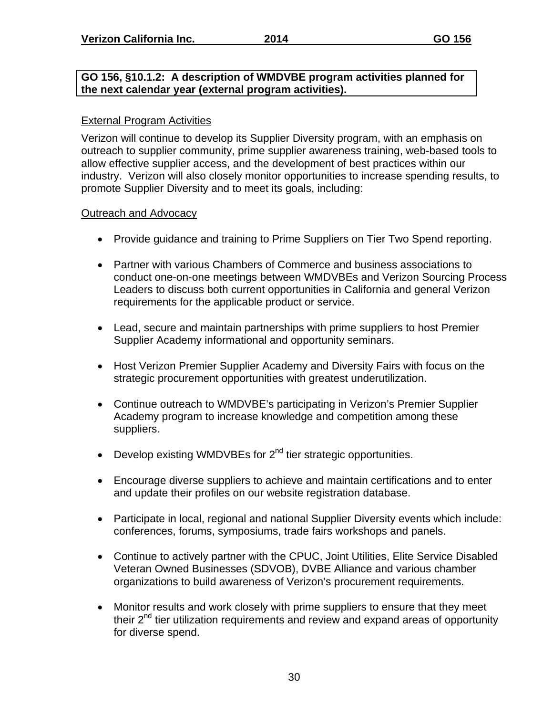#### **GO 156, §10.1.2: A description of WMDVBE program activities planned for the next calendar year (external program activities).**

#### External Program Activities

Verizon will continue to develop its Supplier Diversity program, with an emphasis on outreach to supplier community, prime supplier awareness training, web-based tools to allow effective supplier access, and the development of best practices within our industry. Verizon will also closely monitor opportunities to increase spending results, to promote Supplier Diversity and to meet its goals, including:

#### Outreach and Advocacy

- Provide guidance and training to Prime Suppliers on Tier Two Spend reporting.
- Partner with various Chambers of Commerce and business associations to conduct one-on-one meetings between WMDVBEs and Verizon Sourcing Process Leaders to discuss both current opportunities in California and general Verizon requirements for the applicable product or service.
- Lead, secure and maintain partnerships with prime suppliers to host Premier Supplier Academy informational and opportunity seminars.
- Host Verizon Premier Supplier Academy and Diversity Fairs with focus on the strategic procurement opportunities with greatest underutilization.
- Continue outreach to WMDVBE's participating in Verizon's Premier Supplier Academy program to increase knowledge and competition among these suppliers.
- $\bullet$  Develop existing WMDVBEs for  $2^{nd}$  tier strategic opportunities.
- Encourage diverse suppliers to achieve and maintain certifications and to enter and update their profiles on our website registration database.
- Participate in local, regional and national Supplier Diversity events which include: conferences, forums, symposiums, trade fairs workshops and panels.
- Continue to actively partner with the CPUC, Joint Utilities, Elite Service Disabled Veteran Owned Businesses (SDVOB), DVBE Alliance and various chamber organizations to build awareness of Verizon's procurement requirements.
- Monitor results and work closely with prime suppliers to ensure that they meet their  $2^{nd}$  tier utilization requirements and review and expand areas of opportunity for diverse spend.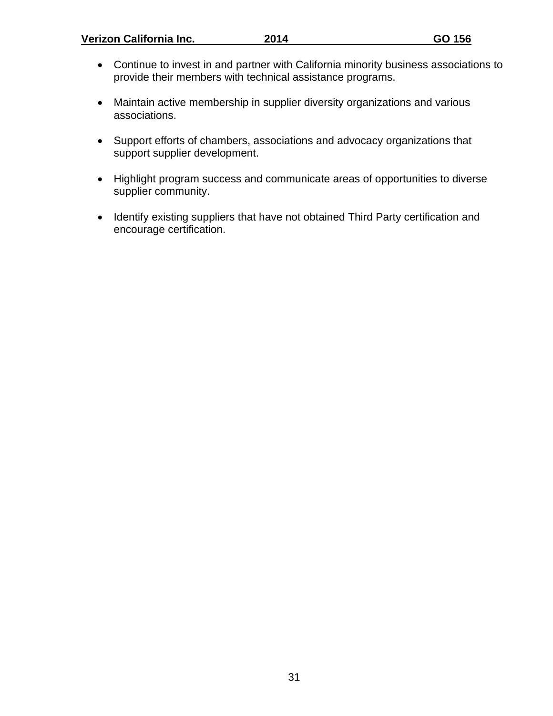**Verizon California Inc.** 2014 **GO 156** 

- Continue to invest in and partner with California minority business associations to provide their members with technical assistance programs.
- Maintain active membership in supplier diversity organizations and various associations.
- Support efforts of chambers, associations and advocacy organizations that support supplier development.
- Highlight program success and communicate areas of opportunities to diverse supplier community.
- Identify existing suppliers that have not obtained Third Party certification and encourage certification.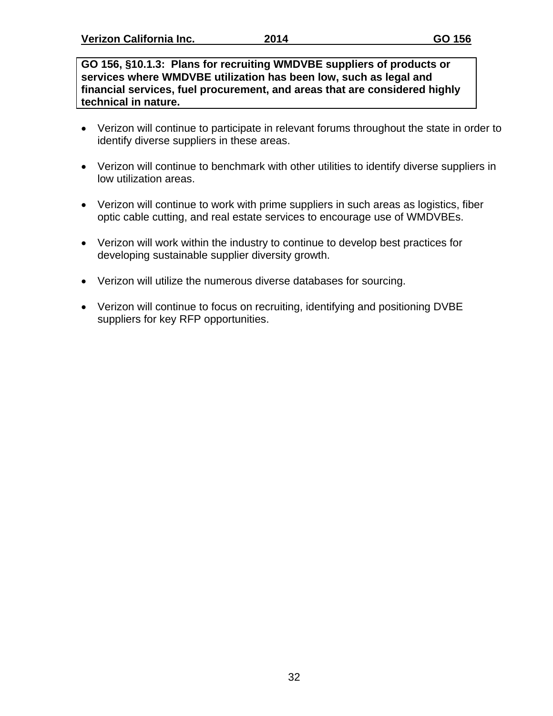**GO 156, §10.1.3: Plans for recruiting WMDVBE suppliers of products or services where WMDVBE utilization has been low, such as legal and financial services, fuel procurement, and areas that are considered highly technical in nature.**

- Verizon will continue to participate in relevant forums throughout the state in order to identify diverse suppliers in these areas.
- Verizon will continue to benchmark with other utilities to identify diverse suppliers in low utilization areas.
- Verizon will continue to work with prime suppliers in such areas as logistics, fiber optic cable cutting, and real estate services to encourage use of WMDVBEs.
- Verizon will work within the industry to continue to develop best practices for developing sustainable supplier diversity growth.
- Verizon will utilize the numerous diverse databases for sourcing.
- Verizon will continue to focus on recruiting, identifying and positioning DVBE suppliers for key RFP opportunities.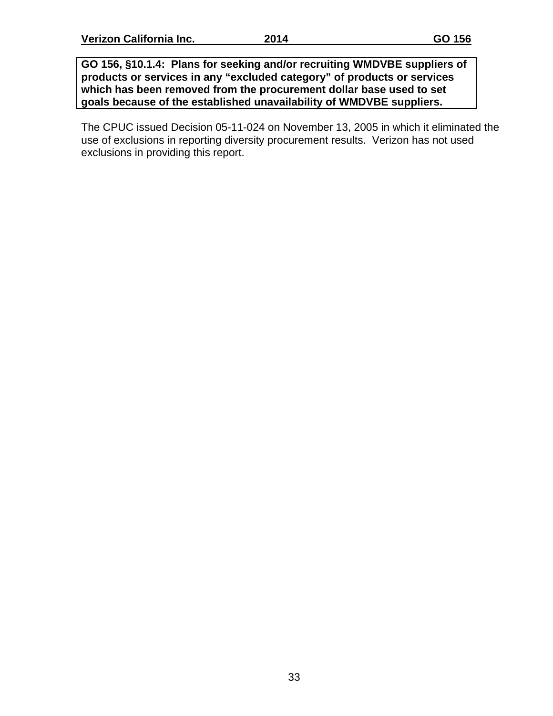**GO 156, §10.1.4: Plans for seeking and/or recruiting WMDVBE suppliers of products or services in any "excluded category" of products or services which has been removed from the procurement dollar base used to set goals because of the established unavailability of WMDVBE suppliers.**

The CPUC issued Decision 05-11-024 on November 13, 2005 in which it eliminated the use of exclusions in reporting diversity procurement results. Verizon has not used exclusions in providing this report.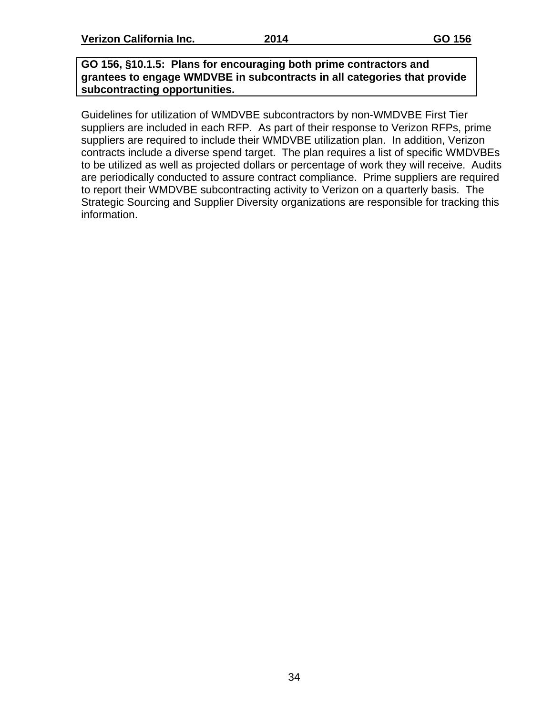**GO 156, §10.1.5: Plans for encouraging both prime contractors and grantees to engage WMDVBE in subcontracts in all categories that provide subcontracting opportunities.**

Guidelines for utilization of WMDVBE subcontractors by non-WMDVBE First Tier suppliers are included in each RFP. As part of their response to Verizon RFPs, prime suppliers are required to include their WMDVBE utilization plan. In addition, Verizon contracts include a diverse spend target. The plan requires a list of specific WMDVBEs to be utilized as well as projected dollars or percentage of work they will receive. Audits are periodically conducted to assure contract compliance. Prime suppliers are required to report their WMDVBE subcontracting activity to Verizon on a quarterly basis. The Strategic Sourcing and Supplier Diversity organizations are responsible for tracking this information.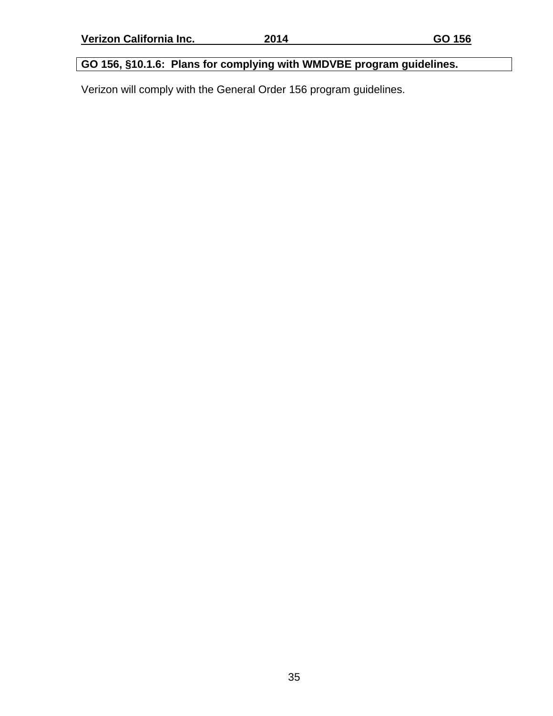# **GO 156, §10.1.6: Plans for complying with WMDVBE program guidelines.**

Verizon will comply with the General Order 156 program guidelines.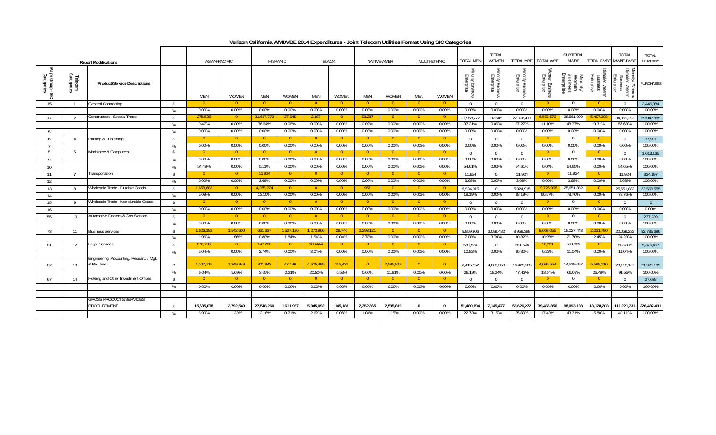| Verizon California WMDVBE 2014 Expenditures - Joint Telecom Utilities Format Using SIC Categories |  |
|---------------------------------------------------------------------------------------------------|--|
|                                                                                                   |  |

|                                        |                       | <b>Report Modifications</b>                   |                    | <b>ASIAN-PACIFIC</b> |                |                | <b>HISPANIC</b> |                | <b>BLACK</b>   |                | NATIVE-AMER    |                          | MULTI-ETHNIC   | <b>TOTAL MEN</b>                                    | <b>TOTAL</b><br>WOMEN         | TOTAL MBE                       | <b>TOTAL WBE</b>           | SUBTOTAL<br><b>MWBE</b>                             |                                            | <b>TOTAL</b><br>TOTAL DVBE MWBE-DVBE                              | <b>TOTAL</b><br>COMPANY |
|----------------------------------------|-----------------------|-----------------------------------------------|--------------------|----------------------|----------------|----------------|-----------------|----------------|----------------|----------------|----------------|--------------------------|----------------|-----------------------------------------------------|-------------------------------|---------------------------------|----------------------------|-----------------------------------------------------|--------------------------------------------|-------------------------------------------------------------------|-------------------------|
| Major Group - S<br>Categories<br>$-50$ | Telecom<br>Categories | <b>Product/Service Descriptions</b>           |                    | <b>MEN</b>           | <b>WOMEN</b>   | MEN            | <b>WOMEN</b>    | MEN            | WOMEN          | <b>MEN</b>     | <b>WOMEN</b>   | <b>MEN</b>               | <b>WOMEN</b>   | ≦<br>nority Busine<br>Enterprise<br>SS <sub>O</sub> | Minority Busine<br>Enterprise | Minority Business<br>Enterprise | Women Busine<br>Enterprise | <b>Business</b><br>Enterprise<br>Minority/<br>Women | sabled Veter.<br>Enterprise<br>Busine<br>≌ | P.<br>mority/ Women/<br>isabled Veteran<br>Business<br>Enterprise | <b>PURCHASES</b>        |
| 15                                     | - 1                   | <b>General Contracting</b>                    | $\mathsf{\$}$      | $\Omega$             | - 0            | - 0 -          | - 0-            | -0             | - 0-           | -0             | -0             | - 0                      | - 0-           | $\Omega$                                            | $\Omega$                      | $\Omega$                        | -0                         |                                                     | $\overline{0}$                             | $\overline{0}$                                                    | 2,446,984               |
|                                        |                       |                                               | %                  | 0.00%                | $0.00\%$       | 0.00%          | $0.00\%$        | 0.00%          | 0.00%          | 0.00%          | $0.00\%$       | 0.00%                    | $0.00\%$       | 0.00%                                               | $0.00\%$                      | $0.00\%$                        | 0.00%                      | $0.00\%$                                            | $0.00\%$                                   | 0.00%                                                             | 100.00%                 |
| 17                                     | $\overline{2}$        | Construction - Special Trade                  | $\mathbf{\hat{s}}$ | 275,525              | - 0            | 21,637,77.     | 37,645          | 2,187          | $\overline{0}$ | 53,287         | $\overline{0}$ | $\overline{0}$           | - 0            | 21,968,772                                          | 37,645                        | 22,006,417                      | 5,555,572                  | 28,561,990                                          | 5,497,303                                  | 34,059,293                                                        | 59,047,885              |
|                                        |                       |                                               | %                  | 0.47%                | $0.00\%$       | 36.64%         | 0.06%           | 0.00%          | 0.00%          | 0.09%          | 0.00%          | 0.00%                    | 0.00%          | 37.21%                                              | 0.06%                         | 37.27%                          | 11.10%                     | 48.37%                                              | 9.31%                                      | 57.68%                                                            | 100.00%                 |
| - 5                                    |                       |                                               | %                  | $0.00\%$             | $0.00\%$       | 0.00%          | 0.00%           | 0.00%          | 0.00%          | 0.00%          | $0.00\%$       | 0.00%                    | 0.00%          | 0.00%                                               | $0.00\%$                      | $0.00\%$                        | 0.00%                      | $0.00\%$                                            | $0.00\%$                                   | 0.00%                                                             | 100.00%                 |
| 6                                      |                       | Printing & Publishing                         | $\mathbf{\hat{s}}$ | $\Omega$             | $\overline{0}$ | $\overline{0}$ | $\overline{0}$  | $\overline{0}$ | $\overline{0}$ | $\overline{0}$ | -0             | - 0                      | - 0            | $\cap$                                              | $\Omega$                      | $\Omega$                        | $\overline{0}$             | $\Omega$                                            | $\overline{0}$                             | $\overline{0}$                                                    | 37,997                  |
|                                        |                       |                                               | %                  | $0.00\%$             | $0.00\%$       | 0.00%          | 0.00%           | 0.00%          | $0.00\%$       | 0.00%          | $0.00\%$       | 0.00%                    | $0.00\%$       | 0.00%                                               | $0.00\%$                      | $0.00\%$                        | 0.00%                      | $0.00\%$                                            | $0.00\%$                                   | 0.00%                                                             | 100.00%                 |
| -8                                     | -5                    | Machinery & Computers                         | -S                 |                      | $\bullet$      | - 0            | - 0             | - 0            | $\overline{0}$ | $\overline{0}$ | -0             | - 0                      | - 0            |                                                     | $\Omega$                      | $\Omega$                        | $\Omega$                   | $\Omega$                                            | $\overline{0}$                             | $\overline{0}$                                                    | 1,613,165               |
| $\mathsf Q$                            |                       |                                               | $\frac{0}{c}$      | 0.00%                | 0.00%          | 0.00%          | 0.00%           | 0.00%          | 0.00%          | 0.00%          | 0.00%          | 0.00%                    | 0.00%          | 0.00%                                               | 0.00%                         | 0.00%                           | 0.00%                      | 0.00%                                               | 0.00%                                      | 0.00%                                                             | 100.00%                 |
| 10                                     |                       |                                               | %                  | 54.49%               | $0.00\%$       | 0.11%          | $0.00\%$        | 0.00%          | 0.00%          | 0.00%          | $0.00\%$       | 0.00%                    | 0.00%          | 54.61%                                              | 0.00%                         | 54.61%                          | 0.04%                      | 54.65%                                              | $0.00\%$                                   | 54.65%                                                            | 100.00%                 |
| 11                                     |                       | Transportation                                | - \$               | $\overline{0}$       | - 0 -          | 11.924         | $\overline{0}$  | $\overline{0}$ | $\overline{0}$ | -0             | $\overline{0}$ | - 0                      | - 0            | 11,924                                              | $\Omega$                      | 11,924                          | $\overline{0}$             | 11,924                                              | $\overline{0}$                             | 11,924                                                            | 324,197                 |
| 12                                     |                       |                                               | %                  | 0.00%                | $0.00\%$       | 3.68%          | $0.00\%$        | $0.00\%$       | $0.00\%$       | $0.00\%$       | $0.00\%$       | 0.00%                    | $0.00\%$       | 3.68%                                               | $0.00\%$                      | 3.68%                           | 0.00%                      | 3.68%                                               | $0.00\%$                                   | 3.68%                                                             | 100.00%                 |
| 13                                     | -8                    | Wholesale Trade - Durable Goods               | $\mathbf{\hat{s}}$ | 1,658,683            | $\overline{0}$ | 4,265,274      | $\overline{0}$  | $\overline{0}$ | $\overline{0}$ | 957            | $\overline{0}$ | $\overline{\phantom{0}}$ | $\overline{0}$ | 5,924,915                                           | $\Omega$                      | 5,924,915                       | 9,726,968                  | 25,651,882                                          | $\overline{0}$                             | 25,651,882                                                        | 32,569,555              |
| 14                                     |                       |                                               | %                  | 5.09%                | $0.00\%$       | 13.10%         | 0.00%           | $0.00\%$       | 0.00%          | 0.00%          | 0.00%          | 0.00%                    | $0.00\%$       | 18.19%                                              | 0.00%                         | 18.19%                          | 60.57%                     | 78.76%                                              | $0.00\%$                                   | 78.76%                                                            | 100.00%                 |
| 15                                     | Q                     | Wholesale Trade - Non-durable Goods           | $\mathsf{\$}$      | $\Omega$             | $\overline{0}$ | $\overline{0}$ | $\overline{0}$  | $\overline{0}$ | $\overline{0}$ | $\overline{0}$ | $\overline{0}$ | $\overline{0}$           | $\overline{0}$ | $\Omega$                                            | $\Omega$                      | $\Omega$                        | $\overline{0}$             | $\Omega$                                            | $\overline{0}$                             | $\overline{0}$                                                    | $\overline{0}$          |
| 16                                     |                       |                                               | %                  | $0.00\%$             | $0.00\%$       | 0.00%          | $0.00\%$        | 0.00%          | $0.00\%$       | 0.00%          | $0.00\%$       | 0.00%                    | $0.00\%$       | 0.00%                                               | $0.00\%$                      | 0.00%                           | $0.00\%$                   | $0.00\%$                                            | $0.00\%$                                   | 0.00%                                                             | $0.00\%$                |
| 55                                     | 10                    | Automotive Dealers & Gas Stations             | $\mathbf{\hat{s}}$ | -0                   | - 0            | - 0            | $\overline{0}$  | $\overline{0}$ | $\overline{0}$ | -0             | -0             | - 0                      | - 0            | $\Omega$                                            | $\Omega$                      | $\Omega$                        | $\left( \right)$           | $\Omega$                                            | $\overline{0}$                             | $\overline{0}$                                                    | 237,239                 |
|                                        |                       |                                               | %                  | 0.00%                | $0.00\%$       | 0.00%          | $0.00\%$        | 0.00%          | 0.00%          | 0.00%          | $0.00\%$       | 0.00%                    | 0.00%          | 0.00%                                               | 0.00%                         | $0.00\%$                        | 0.00%                      | $0.00\%$                                            | $0.00\%$                                   | 0.00%                                                             | 100.00%                 |
| 73                                     | 11                    | <b>Business Services</b>                      | $\mathbf{\hat{S}}$ | 1,626,182            | 1,542,600      | 661,637        | 1,527,136       | 1,273,966      | 29,746         | 2,298,121      | - 0            | - 0                      | - 0            | 5,859,906                                           | 3,099,482                     | 8,959,388                       | 9,068,055                  | 18,027,443                                          | 2,031,790                                  | 20,059,233                                                        | 82,785,696              |
|                                        |                       |                                               | %                  | 1.96%                | 1.86%          | 0.80%          | 1.84%           | 1.54%          | 0.04%          | 2.78%          | 0.00%          | 0.00%                    | 0.00%          | 7.08%                                               | 3.74%                         | 10.82%                          | 10.95%                     | 21.78%                                              | 2.45%                                      | 24.23%                                                            | 100.00%                 |
| 81                                     | 12                    | Legal Services                                | $\mathbf{\hat{s}}$ | 270,795              | $\overline{0}$ | 147,286        | $\overline{0}$  | 163,444        | $\overline{0}$ |                |                | - 0                      | - 0            | 581,524                                             | $\Omega$                      | 581,524                         | 12,281                     | 593,805                                             | $\overline{0}$                             | 593,805                                                           | 5,376,467               |
|                                        |                       |                                               | %                  | 5.04%                | $0.00\%$       | 2.74%          | $0.00\%$        | 3.04%          | $0.00\%$       | 0.00%          | $0.00\%$       | 0.00%                    | $0.00\%$       | 10.82%                                              | $0.00\%$                      | 10.82%                          | 0.23%                      | 11.04%                                              | $0.00\%$                                   | 11.04%                                                            | 100.00%                 |
|                                        |                       | Engineering, Accounting, Research, Mgt.       |                    |                      |                |                |                 |                |                |                |                |                          |                |                                                     |                               |                                 |                            |                                                     |                                            |                                                                   |                         |
| 87                                     | 13                    | & Rel. Serv                                   | $\mathbf{\hat{s}}$ | 1.107.715            | 1.249.949      | 801.943        | 47.146          | 4,505,495      | 115,437        | $\overline{0}$ | 2,595,819      | $\overline{0}$           | $\Omega$       | 6,415,152                                           | 4,008,350                     | 10,423,503                      | 4,095,554                  | 14,519,057                                          | 5,599,110                                  | 20,118,167                                                        | 21,975,199              |
|                                        |                       |                                               | %                  | 5.04%                | 5.69%          | 3.65%          | 0.21%           | 20.50%         | 0.53%          | 0.00%          | 11.81%         | 0.00%                    | 0.00%          | 29.19%                                              | 18.24%                        | 47.43%                          | 18.64%                     | 66.07%                                              | 25.48%                                     | 91.55%                                                            | 100.00%                 |
| 67                                     | 14                    | Holding and Other Investment Offices          | $\mathbf{\hat{S}}$ |                      |                | $\overline{0}$ | $\overline{0}$  | - 0            | $\overline{0}$ | -0             | - 0            | - 0                      | - 0            | $\Omega$                                            | $\Omega$                      | $\Omega$                        | 0.                         | $\Omega$                                            | $\overline{0}$                             | $\overline{0}$                                                    | 27,638                  |
|                                        |                       |                                               | %                  | 0.00%                | 0.00%          | 0.00%          | 0.00%           | 0.00%          | 0.00%          | 0.00%          | 0.00%          | 0.00%                    | 0.00%          | 0.00%                                               | 0.00%                         | 0.00%                           | 0.00%                      | 0.00%                                               | 0.00%                                      | 0.00%                                                             | 100.00%                 |
|                                        |                       |                                               |                    |                      |                |                |                 |                |                |                |                |                          |                |                                                     |                               |                                 |                            |                                                     |                                            |                                                                   |                         |
|                                        |                       | <b>GROSS PRODUCTS/SERVICES</b><br>PROCUREMENT | $\mathbf{\hat{S}}$ | 15,635,078           | 2,792,549      | 27,548,260     | 1,611,927       | 5,945,092      | 145,183        | 2,352,365      | 2,595,819      | - 0                      | $\mathsf{n}$   | 51,480,794                                          | 7,145,477                     | 58,626,272                      | 39,466,856                 | 98,093,128                                          | 13,128,203                                 | 111,221,331                                                       | 226,482,491             |
|                                        |                       |                                               | %                  | 6.90%                | 1.23%          | 12.16%         | 0.71%           | 2.62%          | 0.06%          | 1.04%          | 1.15%          | 0.00%                    | 0.00%          | 22.73%                                              | 3.15%                         | 25.89%                          | 17.43%                     | 43.31%                                              | 5.80%                                      | 49.11%                                                            | 100.00%                 |